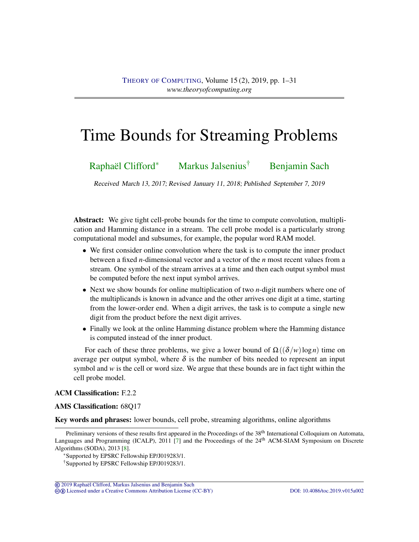# <span id="page-0-0"></span>Time Bounds for Streaming Problems

# [Raphaël Clifford](#page-29-0)<sup>∗</sup> [Markus Jalsenius](#page-29-1)<sup>†</sup> [Benjamin Sach](#page-30-0)

Received March 13, 2017; Revised January 11, 2018; Published September 7, 2019

Abstract: We give tight cell-probe bounds for the time to compute convolution, multiplication and Hamming distance in a stream. The cell probe model is a particularly strong computational model and subsumes, for example, the popular word RAM model.

- We first consider online convolution where the task is to compute the inner product between a fixed *n*-dimensional vector and a vector of the *n* most recent values from a stream. One symbol of the stream arrives at a time and then each output symbol must be computed before the next input symbol arrives.
- Next we show bounds for online multiplication of two *n*-digit numbers where one of the multiplicands is known in advance and the other arrives one digit at a time, starting from the lower-order end. When a digit arrives, the task is to compute a single new digit from the product before the next digit arrives.
- Finally we look at the online Hamming distance problem where the Hamming distance is computed instead of the inner product.

For each of these three problems, we give a lower bound of  $\Omega((\delta/w)\log n)$  time on average per output symbol, where  $\delta$  is the number of bits needed to represent an input symbol and  $w$  is the cell or word size. We argue that these bounds are in fact tight within the cell probe model.

# ACM Classification: F.2.2

AMS Classification: 68Q17

Key words and phrases: lower bounds, cell probe, streaming algorithms, online algorithms

© [2019 Raphael Clifford, Markus Jalsenius and Benjamin Sach](http://theoryofcomputing.org/copyright2009.html) ¨ cb [Licensed under a Creative Commons Attribution License \(CC-BY\)](http://creativecommons.org/licenses/by/3.0/) [DOI: 10.4086/toc.2019.v015a002](http://dx.doi.org/10.4086/toc.2019.v015a002)

Preliminary versions of these results first appeared in the Proceedings of the 38<sup>th</sup> International Colloquium on Automata, Languages and Programming (ICALP), 2011 [\[7\]](#page-27-0) and the Proceedings of the 24<sup>th</sup> ACM-SIAM Symposium on Discrete Algorithms (SODA), 2013 [\[8\]](#page-27-1).

<sup>∗</sup>Supported by EPSRC Fellowship EP/J019283/1.

<sup>†</sup>Supported by EPSRC Fellowship EP/J019283/1.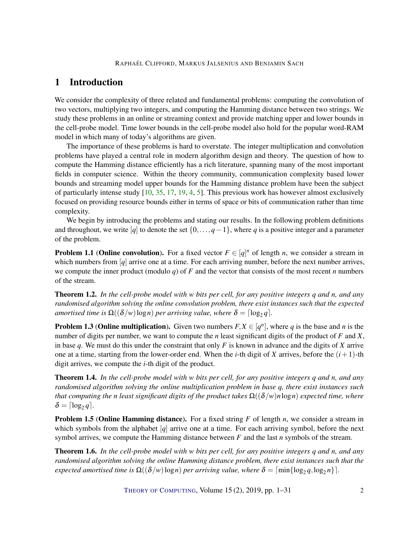# <span id="page-1-3"></span>1 Introduction

We consider the complexity of three related and fundamental problems: computing the convolution of two vectors, multiplying two integers, and computing the Hamming distance between two strings. We study these problems in an online or streaming context and provide matching upper and lower bounds in the cell-probe model. Time lower bounds in the cell-probe model also hold for the popular word-RAM model in which many of today's algorithms are given.

The importance of these problems is hard to overstate. The integer multiplication and convolution problems have played a central role in modern algorithm design and theory. The question of how to compute the Hamming distance efficiently has a rich literature, spanning many of the most important fields in computer science. Within the theory community, communication complexity based lower bounds and streaming model upper bounds for the Hamming distance problem have been the subject of particularly intense study [\[10,](#page-27-2) [35,](#page-29-2) [17,](#page-28-0) [19,](#page-28-1) [4,](#page-27-3) [5\]](#page-27-4). This previous work has however almost exclusively focused on providing resource bounds either in terms of space or bits of communication rather than time complexity.

We begin by introducing the problems and stating our results. In the following problem definitions and throughout, we write [*q*] to denote the set {0,...,*q*−1}, where *q* is a positive integer and a parameter of the problem.

**Problem 1.1 (Online convolution).** For a fixed vector  $F \in [q]^n$  of length *n*, we consider a stream in which numbers from [*q*] arrive one at a time. For each arriving number, before the next number arrives, we compute the inner product (modulo *q*) of *F* and the vector that consists of the most recent *n* numbers of the stream.

<span id="page-1-0"></span>Theorem 1.2. *In the cell-probe model with w bits per cell, for any positive integers q and n, and any randomised algorithm solving the online convolution problem, there exist instances such that the expected amortised time is*  $\Omega((\delta/w) \log n)$  *per arriving value, where*  $\delta = \lceil \log_2 q \rceil$ *.* 

**Problem 1.3 (Online multiplication).** Given two numbers  $F, X \in [q^n]$ , where q is the base and *n* is the number of digits per number, we want to compute the *n* least significant digits of the product of *F* and *X*, in base *q*. We must do this under the constraint that only *F* is known in advance and the digits of *X* arrive one at a time, starting from the lower-order end. When the *i*-th digit of *X* arrives, before the  $(i+1)$ -th digit arrives, we compute the *i*-th digit of the product.

<span id="page-1-1"></span>Theorem 1.4. *In the cell-probe model with w bits per cell, for any positive integers q and n, and any randomised algorithm solving the online multiplication problem in base q, there exist instances such that computing the n least significant digits of the product takes*  $\Omega((\delta/w)n \log n)$  *expected time, where*  $\delta = \lceil \log_2 q \rceil$ .

**Problem 1.5 (Online Hamming distance).** For a fixed string *F* of length *n*, we consider a stream in which symbols from the alphabet [*q*] arrive one at a time. For each arriving symbol, before the next symbol arrives, we compute the Hamming distance between *F* and the last *n* symbols of the stream.

<span id="page-1-2"></span>Theorem 1.6. *In the cell-probe model with w bits per cell, for any positive integers q and n, and any randomised algorithm solving the online Hamming distance problem, there exist instances such that the expected amortised time is*  $\Omega((\delta/w)\log n)$  *per arriving value, where*  $\delta = \lceil \min\{\log_2 q, \log_2 n\} \rceil$ .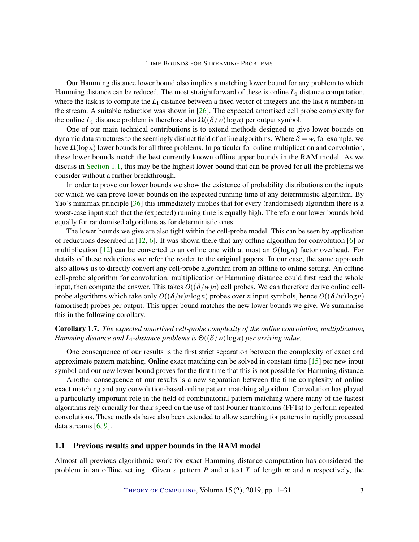<span id="page-2-1"></span>Our Hamming distance lower bound also implies a matching lower bound for any problem to which Hamming distance can be reduced. The most straightforward of these is online *L*<sup>1</sup> distance computation, where the task is to compute the  $L_1$  distance between a fixed vector of integers and the last  $n$  numbers in the stream. A suitable reduction was shown in [\[26\]](#page-28-2). The expected amortised cell probe complexity for the online  $L_1$  distance problem is therefore also  $\Omega((\delta/w)\log n)$  per output symbol.

One of our main technical contributions is to extend methods designed to give lower bounds on dynamic data structures to the seemingly distinct field of online algorithms. Where  $\delta = w$ , for example, we have Ω(log*n*) lower bounds for all three problems. In particular for online multiplication and convolution, these lower bounds match the best currently known offline upper bounds in the RAM model. As we discuss in [Section](#page-2-0) [1.1,](#page-2-0) this may be the highest lower bound that can be proved for all the problems we consider without a further breakthrough.

In order to prove our lower bounds we show the existence of probability distributions on the inputs for which we can prove lower bounds on the expected running time of any deterministic algorithm. By Yao's minimax principle [\[36\]](#page-29-3) this immediately implies that for every (randomised) algorithm there is a worst-case input such that the (expected) running time is equally high. Therefore our lower bounds hold equally for randomised algorithms as for deterministic ones.

The lower bounds we give are also tight within the cell-probe model. This can be seen by application of reductions described in [\[12,](#page-27-5) [6\]](#page-27-6). It was shown there that any offline algorithm for convolution [\[6\]](#page-27-6) or multiplication [\[12\]](#page-27-5) can be converted to an online one with at most an  $O(\log n)$  factor overhead. For details of these reductions we refer the reader to the original papers. In our case, the same approach also allows us to directly convert any cell-probe algorithm from an offline to online setting. An offline cell-probe algorithm for convolution, multiplication or Hamming distance could first read the whole input, then compute the answer. This takes  $O((\delta/w)n)$  cell probes. We can therefore derive online cellprobe algorithms which take only  $O((\delta/w)n\log n)$  probes over *n* input symbols, hence  $O((\delta/w)\log n)$ (amortised) probes per output. This upper bound matches the new lower bounds we give. We summarise this in the following corollary.

# Corollary 1.7. *The expected amortised cell-probe complexity of the online convolution, multiplication, Hamming distance and L*1*-distance problems is* Θ((δ/*w*)log*n*) *per arriving value.*

One consequence of our results is the first strict separation between the complexity of exact and approximate pattern matching. Online exact matching can be solved in constant time [\[15\]](#page-28-3) per new input symbol and our new lower bound proves for the first time that this is not possible for Hamming distance.

Another consequence of our results is a new separation between the time complexity of online exact matching and any convolution-based online pattern matching algorithm. Convolution has played a particularly important role in the field of combinatorial pattern matching where many of the fastest algorithms rely crucially for their speed on the use of fast Fourier transforms (FFTs) to perform repeated convolutions. These methods have also been extended to allow searching for patterns in rapidly processed data streams [\[6,](#page-27-6) [9\]](#page-27-7).

## <span id="page-2-0"></span>1.1 Previous results and upper bounds in the RAM model

Almost all previous algorithmic work for exact Hamming distance computation has considered the problem in an offline setting. Given a pattern *P* and a text *T* of length *m* and *n* respectively, the

THEORY OF C[OMPUTING](http://dx.doi.org/10.4086/toc), Volume 15 (2), 2019, pp. 1–31 3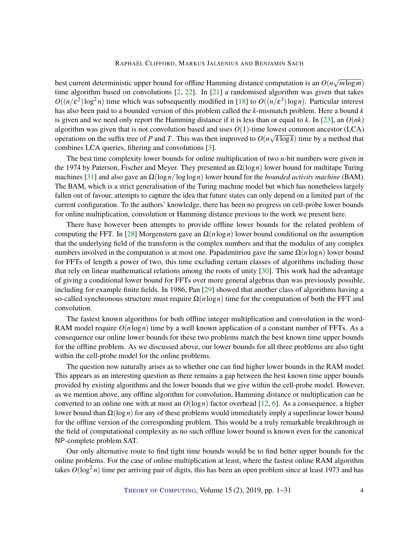<span id="page-3-0"></span>best current deterministic upper bound for offline Hamming distance computation is an  $O(n\sqrt{m\log m})$ time algorithm based on convolutions  $[2, 22]$  $[2, 22]$  $[2, 22]$ . In  $[21]$  a randomised algorithm was given that takes  $O((n/\varepsilon^2) \log^2 n)$  time which was subsequently modified in [\[18\]](#page-28-6) to  $O((n/\varepsilon^3) \log n)$ . Particular interest has also been paid to a bounded version of this problem called the *k*-mismatch problem. Here a bound *k* is given and we need only report the Hamming distance if it is less than or equal to *k*. In [\[23\]](#page-28-7), an *O*(*nk*) algorithm was given that is not convolution based and uses  $O(1)$ -time lowest common ancestor (LCA) operations on the suffix tree of *P* and *T*. This was then improved to  $O(n\sqrt{k \log k})$  time by a method that combines LCA queries, filtering and convolutions [\[3\]](#page-27-8).

The best time complexity lower bounds for online multiplication of two *n*-bit numbers were given in the 1974 by Paterson, Fischer and Meyer. They presented an  $\Omega(\log n)$  lower bound for multitape Turing machines [\[31\]](#page-29-4) and also gave an Ω(log*n*/loglog*n*) lower bound for the *bounded activity machine* (BAM). The BAM, which is a strict generalisation of the Turing machine model but which has nonetheless largely fallen out of favour, attempts to capture the idea that future states can only depend on a limited part of the current configuration. To the authors' knowledge, there has been no progress on cell-probe lower bounds for online multiplication, convolution or Hamming distance previous to the work we present here.

There have however been attempts to provide offline lower bounds for the related problem of computing the FFT. In [\[28\]](#page-28-8) Morgenstern gave an  $\Omega(n \log n)$  lower bound conditional on the assumption that the underlying field of the transform is the complex numbers and that the modulus of any complex numbers involved in the computation is at most one. Papadimitriou gave the same  $Ω(n \log n)$  lower bound for FFTs of length a power of two, this time excluding certain classes of algorithms including those that rely on linear mathematical relations among the roots of unity [\[30\]](#page-29-5). This work had the advantage of giving a conditional lower bound for FFTs over more general algebras than was previously possible, including for example finite fields. In 1986, Pan [\[29\]](#page-28-9) showed that another class of algorithms having a so-called synchronous structure must require Ω(*n*log*n*) time for the computation of both the FFT and convolution.

The fastest known algorithms for both offline integer multiplication and convolution in the word-RAM model require  $O(n \log n)$  time by a well known application of a constant number of FFTs. As a consequence our online lower bounds for these two problems match the best known time upper bounds for the offline problem. As we discussed above, our lower bounds for all three problems are also tight within the cell-probe model for the online problems.

The question now naturally arises as to whether one can find higher lower bounds in the RAM model. This appears as an interesting question as there remains a gap between the best known time upper bounds provided by existing algorithms and the lower bounds that we give within the cell-probe model. However, as we mention above, any offline algorithm for convolution, Hamming distance or multiplication can be converted to an online one with at most an  $O(\log n)$  factor overhead [\[12,](#page-27-5) [6\]](#page-27-6). As a consequence, a higher lower bound than Ω(log*n*) for any of these problems would immediately imply a superlinear lower bound for the offline version of the corresponding problem. This would be a truly remarkable breakthrough in the field of computational complexity as no such offline lower bound is known even for the canonical NP-complete problem SAT.

Our only alternative route to find tight time bounds would be to find better upper bounds for the online problems. For the case of online multiplication at least, where the fastest online RAM algorithm takes  $O(\log^2 n)$  time per arriving pair of digits, this has been an open problem since at least 1973 and has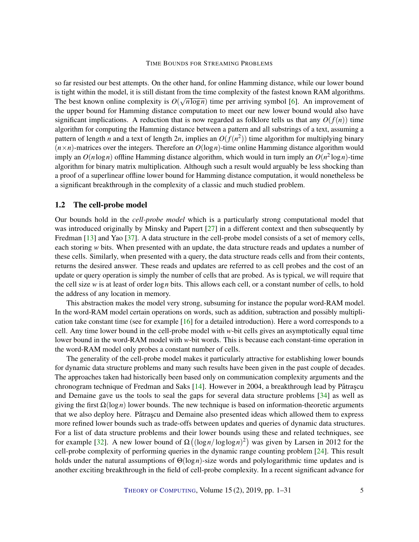<span id="page-4-0"></span>so far resisted our best attempts. On the other hand, for online Hamming distance, while our lower bound is tight within the model, it is still distant from the time complexity of the fastest known RAM algorithms. The best known online complexity is  $O(\sqrt{n \log n})$  time per arriving symbol [\[6\]](#page-27-6). An improvement of the upper bound for Hamming distance computation to meet our new lower bound would also have significant implications. A reduction that is now regarded as folklore tells us that any  $O(f(n))$  time algorithm for computing the Hamming distance between a pattern and all substrings of a text, assuming a pattern of length *n* and a text of length 2*n*, implies an *O*(*f*(*n* 2 )) time algorithm for multiplying binary  $(n \times n)$ -matrices over the integers. Therefore an  $O(\log n)$ -time online Hamming distance algorithm would imply an  $O(n \log n)$  offline Hamming distance algorithm, which would in turn imply an  $O(n^2 \log n)$ -time algorithm for binary matrix multiplication. Although such a result would arguably be less shocking than a proof of a superlinear offline lower bound for Hamming distance computation, it would nonetheless be a significant breakthrough in the complexity of a classic and much studied problem.

### 1.2 The cell-probe model

Our bounds hold in the *cell-probe model* which is a particularly strong computational model that was introduced originally by Minsky and Papert [\[27\]](#page-28-10) in a different context and then subsequently by Fredman [\[13\]](#page-27-9) and Yao [\[37\]](#page-29-6). A data structure in the cell-probe model consists of a set of memory cells, each storing *w* bits. When presented with an update, the data structure reads and updates a number of these cells. Similarly, when presented with a query, the data structure reads cells and from their contents, returns the desired answer. These reads and updates are referred to as cell probes and the cost of an update or query operation is simply the number of cells that are probed. As is typical, we will require that the cell size *w* is at least of order log*n* bits. This allows each cell, or a constant number of cells, to hold the address of any location in memory.

This abstraction makes the model very strong, subsuming for instance the popular word-RAM model. In the word-RAM model certain operations on words, such as addition, subtraction and possibly multiplication take constant time (see for example [\[16\]](#page-28-11) for a detailed introduction). Here a word corresponds to a cell. Any time lower bound in the cell-probe model with *w*-bit cells gives an asymptotically equal time lower bound in the word-RAM model with *w*-bit words. This is because each constant-time operation in the word-RAM model only probes a constant number of cells.

The generality of the cell-probe model makes it particularly attractive for establishing lower bounds for dynamic data structure problems and many such results have been given in the past couple of decades. The approaches taken had historically been based only on communication complexity arguments and the chronogram technique of Fredman and Saks  $[14]$ . However in 2004, a breakthrough lead by Pătrașcu and Demaine gave us the tools to seal the gaps for several data structure problems [\[34\]](#page-29-7) as well as giving the first Ω(log*n*) lower bounds. The new technique is based on information-theoretic arguments that we also deploy here. Pătrașcu and Demaine also presented ideas which allowed them to express more refined lower bounds such as trade-offs between updates and queries of dynamic data structures. For a list of data structure problems and their lower bounds using these and related techniques, see for example [\[32\]](#page-29-8). A new lower bound of  $\Omega((\log n / \log \log n)^2)$  was given by Larsen in 2012 for the cell-probe complexity of performing queries in the dynamic range counting problem [\[24\]](#page-28-12). This result holds under the natural assumptions of Θ(log*n*)-size words and polylogarithmic time updates and is another exciting breakthrough in the field of cell-probe complexity. In a recent significant advance for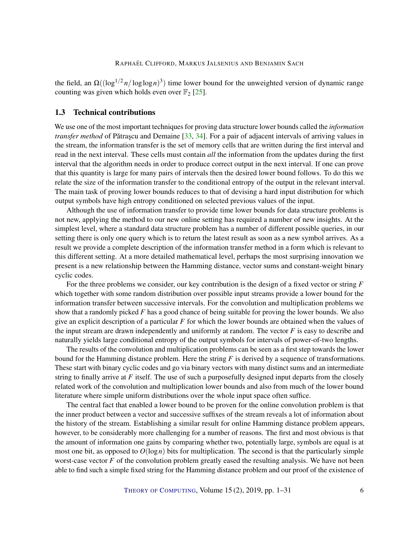<span id="page-5-0"></span>the field, an  $\Omega((\log^{1/2} n / \log \log n)^3)$  time lower bound for the unweighted version of dynamic range counting was given which holds even over  $\mathbb{F}_2$  [\[25\]](#page-28-13).

# 1.3 Technical contributions

We use one of the most important techniques for proving data structure lower bounds called the *information transfer method* of Pătrașcu and Demaine [[33,](#page-29-9) [34\]](#page-29-7). For a pair of adjacent intervals of arriving values in the stream, the information transfer is the set of memory cells that are written during the first interval and read in the next interval. These cells must contain *all* the information from the updates during the first interval that the algorithm needs in order to produce correct output in the next interval. If one can prove that this quantity is large for many pairs of intervals then the desired lower bound follows. To do this we relate the size of the information transfer to the conditional entropy of the output in the relevant interval. The main task of proving lower bounds reduces to that of devising a hard input distribution for which output symbols have high entropy conditioned on selected previous values of the input.

Although the use of information transfer to provide time lower bounds for data structure problems is not new, applying the method to our new online setting has required a number of new insights. At the simplest level, where a standard data structure problem has a number of different possible queries, in our setting there is only one query which is to return the latest result as soon as a new symbol arrives. As a result we provide a complete description of the information transfer method in a form which is relevant to this different setting. At a more detailed mathematical level, perhaps the most surprising innovation we present is a new relationship between the Hamming distance, vector sums and constant-weight binary cyclic codes.

For the three problems we consider, our key contribution is the design of a fixed vector or string *F* which together with some random distribution over possible input streams provide a lower bound for the information transfer between successive intervals. For the convolution and multiplication problems we show that a randomly picked *F* has a good chance of being suitable for proving the lower bounds. We also give an explicit description of a particular *F* for which the lower bounds are obtained when the values of the input stream are drawn independently and uniformly at random. The vector *F* is easy to describe and naturally yields large conditional entropy of the output symbols for intervals of power-of-two lengths.

The results of the convolution and multiplication problems can be seen as a first step towards the lower bound for the Hamming distance problem. Here the string *F* is derived by a sequence of transformations. These start with binary cyclic codes and go via binary vectors with many distinct sums and an intermediate string to finally arrive at *F* itself. The use of such a purposefully designed input departs from the closely related work of the convolution and multiplication lower bounds and also from much of the lower bound literature where simple uniform distributions over the whole input space often suffice.

The central fact that enabled a lower bound to be proven for the online convolution problem is that the inner product between a vector and successive suffixes of the stream reveals a lot of information about the history of the stream. Establishing a similar result for online Hamming distance problem appears, however, to be considerably more challenging for a number of reasons. The first and most obvious is that the amount of information one gains by comparing whether two, potentially large, symbols are equal is at most one bit, as opposed to  $O(log n)$  bits for multiplication. The second is that the particularly simple worst-case vector *F* of the convolution problem greatly eased the resulting analysis. We have not been able to find such a simple fixed string for the Hamming distance problem and our proof of the existence of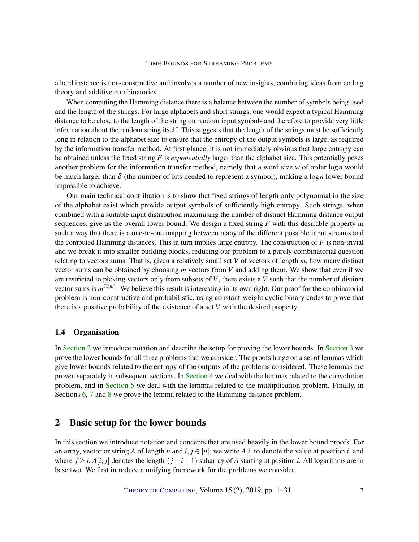a hard instance is non-constructive and involves a number of new insights, combining ideas from coding theory and additive combinatorics.

When computing the Hamming distance there is a balance between the number of symbols being used and the length of the strings. For large alphabets and short strings, one would expect a typical Hamming distance to be close to the length of the string on random input symbols and therefore to provide very little information about the random string itself. This suggests that the length of the strings must be sufficiently long in relation to the alphabet size to ensure that the entropy of the output symbols is large, as required by the information transfer method. At first glance, it is not immediately obvious that large entropy can be obtained unless the fixed string *F* is *exponentially* larger than the alphabet size. This potentially poses another problem for the information transfer method, namely that a word size *w* of order log*n* would be much larger than  $\delta$  (the number of bits needed to represent a symbol), making a log *n* lower bound impossible to achieve.

Our main technical contribution is to show that fixed strings of length only polynomial in the size of the alphabet exist which provide output symbols of sufficiently high entropy. Such strings, when combined with a suitable input distribution maximising the number of distinct Hamming distance output sequences, give us the overall lower bound. We design a fixed string *F* with this desirable property in such a way that there is a one-to-one mapping between many of the different possible input streams and the computed Hamming distances. This in turn implies large entropy. The construction of  $F$  is non-trivial and we break it into smaller building blocks, reducing our problem to a purely combinatorial question relating to vectors sums. That is, given a relatively small set *V* of vectors of length *m*, how many distinct vector sums can be obtained by choosing *m* vectors from *V* and adding them. We show that even if we are restricted to picking vectors only from subsets of *V*, there exists a *V* such that the number of distinct vector sums is  $m^{\Omega(m)}$ . We believe this result is interesting in its own right. Our proof for the combinatorial problem is non-constructive and probabilistic, using constant-weight cyclic binary codes to prove that there is a positive probability of the existence of a set *V* with the desired property.

### 1.4 Organisation

In [Section](#page-6-0) [2](#page-6-0) we introduce notation and describe the setup for proving the lower bounds. In [Section](#page-8-0) [3](#page-8-0) we prove the lower bounds for all three problems that we consider. The proofs hinge on a set of lemmas which give lower bounds related to the entropy of the outputs of the problems considered. These lemmas are proven separately in subsequent sections. In [Section](#page-12-0) [4](#page-12-0) we deal with the lemmas related to the convolution problem, and in [Section](#page-15-0) [5](#page-15-0) we deal with the lemmas related to the multiplication problem. Finally, in Sections [6,](#page-16-0) [7](#page-19-0) and [8](#page-23-0) we prove the lemma related to the Hamming distance problem.

# <span id="page-6-0"></span>2 Basic setup for the lower bounds

In this section we introduce notation and concepts that are used heavily in the lower bound proofs. For an array, vector or string *A* of length *n* and  $i, j \in [n]$ , we write  $A[i]$  to denote the value at position *i*, and where  $j \ge i$ ,  $A[i, j]$  denotes the length- $(j - i + 1)$  subarray of *A* starting at position *i*. All logarithms are in base two. We first introduce a unifying framework for the problems we consider.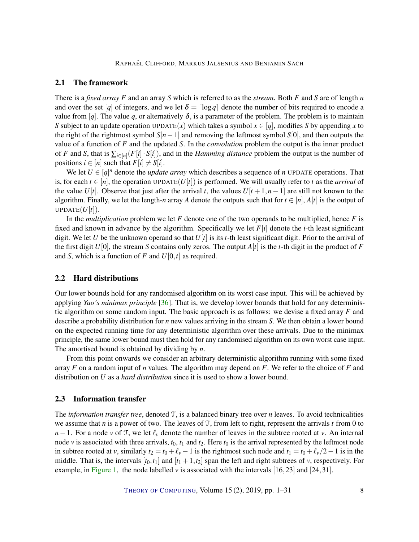# <span id="page-7-1"></span>2.1 The framework

There is a *fixed array F* and an array *S* which is referred to as the *stream*. Both *F* and *S* are of length *n* and over the set [*q*] of integers, and we let  $\delta = \lceil \log q \rceil$  denote the number of bits required to encode a value from [q]. The value q, or alternatively  $\delta$ , is a parameter of the problem. The problem is to maintain *S* subject to an update operation UPDATE(*x*) which takes a symbol  $x \in [q]$ , modifies *S* by appending *x* to the right of the rightmost symbol *S*[*n*−1] and removing the leftmost symbol *S*[0], and then outputs the value of a function of *F* and the updated *S*. In the *convolution* problem the output is the inner product of *F* and *S*, that is  $\sum_{i \in [n]} (F[i] \cdot S[i])$ , and in the *Hamming distance* problem the output is the number of positions  $i \in [n]$  such that  $F[i] \neq S[i]$ .

We let  $U \in [q]^n$  denote the *update array* which describes a sequence of *n* UPDATE operations. That is, for each  $t \in [n]$ , the operation UPDATE( $U[t]$ ) is performed. We will usually refer to *t* as the *arrival* of the value *U*[*t*]. Observe that just after the arrival *t*, the values  $U[t+1,n-1]$  are still not known to the algorithm. Finally, we let the length-*n* array *A* denote the outputs such that for  $t \in [n]$ ,  $A[t]$  is the output of UPDATE $(U[t])$ .

In the *multiplication* problem we let *F* denote one of the two operands to be multiplied, hence *F* is fixed and known in advance by the algorithm. Specifically we let  $F[i]$  denote the *i*-th least significant digit. We let *U* be the unknown operand so that  $U[t]$  is its *t*-th least significant digit. Prior to the arrival of the first digit  $U[0]$ , the stream *S* contains only zeros. The output  $A[t]$  is the *t*-th digit in the product of *F* and *S*, which is a function of *F* and *U*[0,*t*] as required.

# 2.2 Hard distributions

Our lower bounds hold for any randomised algorithm on its worst case input. This will be achieved by applying *Yao's minimax principle* [\[36\]](#page-29-3). That is, we develop lower bounds that hold for any deterministic algorithm on some random input. The basic approach is as follows: we devise a fixed array *F* and describe a probability distribution for *n* new values arriving in the stream *S*. We then obtain a lower bound on the expected running time for any deterministic algorithm over these arrivals. Due to the minimax principle, the same lower bound must then hold for any randomised algorithm on its own worst case input. The amortised bound is obtained by dividing by *n*.

From this point onwards we consider an arbitrary deterministic algorithm running with some fixed array *F* on a random input of *n* values. The algorithm may depend on *F*. We refer to the choice of *F* and distribution on *U* as a *hard distribution* since it is used to show a lower bound.

### <span id="page-7-0"></span>2.3 Information transfer

The *information transfer tree*, denoted T, is a balanced binary tree over *n* leaves. To avoid technicalities we assume that *n* is a power of two. The leaves of T, from left to right, represent the arrivals *t* from 0 to *n*−1. For a node *v* of T, we let  $\ell$ <sub>*v*</sub> denote the number of leaves in the subtree rooted at *v*. An internal node  $\nu$  is associated with three arrivals,  $t_0$ ,  $t_1$  and  $t_2$ . Here  $t_0$  is the arrival represented by the leftmost node in subtree rooted at *v*, similarly  $t_2 = t_0 + \ell_v - 1$  is the rightmost such node and  $t_1 = t_0 + \ell_v/2 - 1$  is in the middle. That is, the intervals  $[t_0, t_1]$  and  $[t_1 + 1, t_2]$  span the left and right subtrees of *v*, respectively. For example, in [Figure](#page-8-1) [1,](#page-8-1) the node labelled  $\nu$  is associated with the intervals [16,23] and [24,31].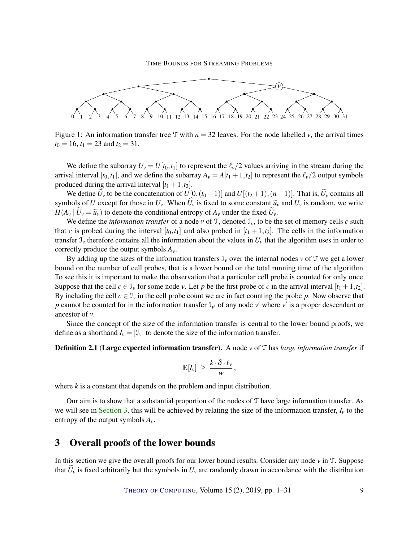

<span id="page-8-1"></span>Figure 1: An information transfer tree T with  $n = 32$  leaves. For the node labelled *v*, the arrival times  $t_0 = 16$ ,  $t_1 = 23$  and  $t_2 = 31$ .

We define the subarray  $U_v = U[t_0, t_1]$  to represent the  $\ell_v/2$  values arriving in the stream during the arrival interval  $[t_0, t_1]$ , and we define the subarray  $A_v = A[t_1 + 1, t_2]$  to represent the  $\ell_v/2$  output symbols produced during the arrival interval  $[t_1 + 1, t_2]$ .

We define  $U_v$  to be the concatenation of  $U[0,(t_0-1)]$  and  $U[(t_2+1),(n-1)]$ . That is,  $\widetilde{U}_v$  contains all symbols of *U* except for those in  $U_v$ . When  $\widetilde{U}_v$  is fixed to some constant  $\widetilde{u}_v$  and  $U_v$  is random, we write  $H(A_v | U_v = \tilde{u}_v)$  to denote the conditional entropy of  $A_v$  under the fixed  $U_v$ .

We define the *information transfer* of a node  $v$  of T, denoted  $\mathcal{I}_v$ , to be the set of memory cells *c* such that *c* is probed during the interval  $[t_0, t_1]$  and also probed in  $[t_1 + 1, t_2]$ . The cells in the information transfer  $\mathcal{I}_v$  therefore contains all the information about the values in  $U_v$  that the algorithm uses in order to correctly produce the output symbols *Av*.

By adding up the sizes of the information transfers  $\mathcal{I}_v$  over the internal nodes  $v$  of  $\mathcal T$  we get a lower bound on the number of cell probes, that is a lower bound on the total running time of the algorithm. To see this it is important to make the observation that a particular cell probe is counted for only once. Suppose that the cell  $c \in \mathcal{I}_v$  for some node *v*. Let *p* be the first probe of *c* in the arrival interval  $[t_1 + 1, t_2]$ . By including the cell  $c \in \mathcal{I}_v$  in the cell probe count we are in fact counting the probe *p*. Now observe that *p* cannot be counted for in the information transfer  $\mathcal{I}_{v'}$  of any node  $v'$  where  $v'$  is a proper descendant or ancestor of *v*.

Since the concept of the size of the information transfer is central to the lower bound proofs, we define as a shorthand  $I_v = |\mathcal{I}_v|$  to denote the size of the information transfer.

### <span id="page-8-2"></span>Definition 2.1 (Large expected information transfer). A node *v* of T has *large information transfer* if

$$
\mathbb{E}[I_{\nu}] \ \geq \ \frac{k \cdot \delta \cdot \ell_{\nu}}{\nu} \, ,
$$

where *k* is a constant that depends on the problem and input distribution.

Our aim is to show that a substantial proportion of the nodes of T have large information transfer. As we will see in [Section](#page-8-0) [3,](#page-8-0) this will be achieved by relating the size of the information transfer,  $I_\nu$  to the entropy of the output symbols  $A_v$ .

# <span id="page-8-0"></span>3 Overall proofs of the lower bounds

In this section we give the overall proofs for our lower bound results. Consider any node *v* in T. Suppose that  $\tilde{U}_v$  is fixed arbitrarily but the symbols in  $U_v$  are randomly drawn in accordance with the distribution

THEORY OF C[OMPUTING](http://dx.doi.org/10.4086/toc), Volume  $15(2)$ ,  $2019$ , pp.  $1-31$  9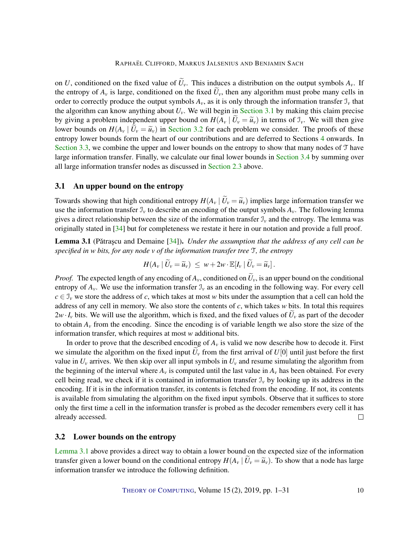<span id="page-9-3"></span>on *U*, conditioned on the fixed value of  $\tilde{U}_v$ . This induces a distribution on the output symbols  $A_v$ . If the entropy of  $A_v$  is large, conditioned on the fixed  $\tilde{U}_v$ , then any algorithm must probe many cells in order to correctly produce the output symbols  $A_v$ , as it is only through the information transfer  $\mathcal{I}_v$  that the algorithm can know anything about  $U<sub>v</sub>$ . We will begin in [Section](#page-9-0) [3.1](#page-9-0) by making this claim precise by giving a problem independent upper bound on  $H(A_v | \tilde{U}_v = \tilde{u}_v)$  in terms of  $\mathcal{I}_v$ . We will then give lower bounds on  $H(A_v \mid U_v = \tilde{u}_v)$  in [Section](#page-9-1) [3.2](#page-9-1) for each problem we consider. The proofs of these entropy lower bounds form the heart of our contributions and are deferred to Sections [4](#page-12-0) onwards. In [Section](#page-11-0) [3.3,](#page-11-0) we combine the upper and lower bounds on the entropy to show that many nodes of T have large information transfer. Finally, we calculate our final lower bounds in [Section](#page-12-1) [3.4](#page-12-1) by summing over all large information transfer nodes as discussed in [Section](#page-7-0) [2.3](#page-7-0) above.

# <span id="page-9-0"></span>3.1 An upper bound on the entropy

Towards showing that high conditional entropy  $H(A_v | \tilde{U}_v = \tilde{u}_v)$  implies large information transfer we use the information transfer  $\mathcal{I}_v$  to describe an encoding of the output symbols  $A_v$ . The following lemma gives a direct relationship between the size of the information transfer  $\mathcal{I}_v$  and the entropy. The lemma was originally stated in [\[34\]](#page-29-7) but for completeness we restate it here in our notation and provide a full proof.

<span id="page-9-2"></span>**Lemma 3.1** (Pătrașcu and Demaine [[34\]](#page-29-7)). *Under the assumption that the address of any cell can be specified in w bits, for any node v of the information transfer tree* T*, the entropy*

$$
H(A_{\nu} | \widetilde{U}_{\nu} = \widetilde{u}_{\nu}) \leq w + 2w \cdot \mathbb{E}[I_{\nu} | \widetilde{U}_{\nu} = \widetilde{u}_{\nu}].
$$

*Proof.* The expected length of any encoding of  $A_\nu$ , conditioned on  $\tilde{U}_\nu$ , is an upper bound on the conditional entropy of  $A_\nu$ . We use the information transfer  $\mathcal{I}_\nu$  as an encoding in the following way. For every cell  $c \in \mathcal{I}_v$  we store the address of *c*, which takes at most *w* bits under the assumption that a cell can hold the address of any cell in memory. We also store the contents of *c*, which takes *w* bits. In total this requires  $2w \cdot I_v$  bits. We will use the algorithm, which is fixed, and the fixed values of  $U_v$  as part of the decoder to obtain  $A<sub>v</sub>$  from the encoding. Since the encoding is of variable length we also store the size of the information transfer, which requires at most *w* additional bits.

In order to prove that the described encoding of  $A<sub>v</sub>$  is valid we now describe how to decode it. First we simulate the algorithm on the fixed input  $U_{\nu}$  from the first arrival of  $U[0]$  until just before the first value in  $U_v$  arrives. We then skip over all input symbols in  $U_v$  and resume simulating the algorithm from the beginning of the interval where  $A_\nu$  is computed until the last value in  $A_\nu$  has been obtained. For every cell being read, we check if it is contained in information transfer  $\mathcal{I}_v$  by looking up its address in the encoding. If it is in the information transfer, its contents is fetched from the encoding. If not, its contents is available from simulating the algorithm on the fixed input symbols. Observe that it suffices to store only the first time a cell in the information transfer is probed as the decoder remembers every cell it has already accessed.  $\Box$ 

## <span id="page-9-1"></span>3.2 Lower bounds on the entropy

[Lemma](#page-9-2) [3.1](#page-9-2) above provides a direct way to obtain a lower bound on the expected size of the information transfer given a lower bound on the conditional entropy  $H(A_v | \tilde{U}_v = \tilde{u}_v)$ . To show that a node has large information transfer we introduce the following definition.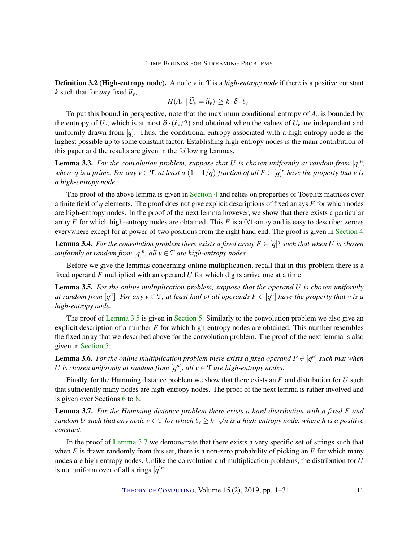<span id="page-10-3"></span>**Definition 3.2 (High-entropy node).** A node *v* in T is a *high-entropy node* if there is a positive constant *k* such that for *any* fixed  $\tilde{u}_v$ ,

$$
H(A_v | \widetilde{U}_v = \widetilde{u}_v) \geq k \cdot \delta \cdot \ell_v.
$$

To put this bound in perspective, note that the maximum conditional entropy of  $A<sub>v</sub>$  is bounded by the entropy of  $U_v$ , which is at most  $\delta \cdot (\ell_v/2)$  and obtained when the values of  $U_v$  are independent and uniformly drawn from [*q*]. Thus, the conditional entropy associated with a high-entropy node is the highest possible up to some constant factor. Establishing high-entropy nodes is the main contribution of this paper and the results are given in the following lemmas.

<span id="page-10-2"></span>**Lemma 3.3.** For the convolution problem, suppose that U is chosen uniformly at random from  $[q]^n$ , *where*  $q$  *is a prime. For any*  $v \in T$ *, at least a*  $(1 - 1/q)$ *-fraction of all*  $F \in [q]^n$  *have the property that*  $v$  *is a high-entropy node.*

The proof of the above lemma is given in [Section](#page-12-0) [4](#page-12-0) and relies on properties of Toeplitz matrices over a finite field of *q* elements. The proof does not give explicit descriptions of fixed arrays *F* for which nodes are high-entropy nodes. In the proof of the next lemma however, we show that there exists a particular array *F* for which high-entropy nodes are obtained. This *F* is a 0/1-array and is easy to describe: zeroes everywhere except for at power-of-two positions from the right hand end. The proof is given in [Section](#page-12-0) [4.](#page-12-0)

<span id="page-10-4"></span>**Lemma 3.4.** For the convolution problem there exists a fixed array  $F \in [q]^n$  such that when U is chosen  $uniformly$  at random from  $[q]^n$ , all  $v \in \mathcal{T}$  are high-entropy nodes.

Before we give the lemmas concerning online multiplication, recall that in this problem there is a fixed operand *F* multiplied with an operand *U* for which digits arrive one at a time.

<span id="page-10-0"></span>Lemma 3.5. *For the online multiplication problem, suppose that the operand U is chosen uniformly at random from*  $[q^n]$ *. For any*  $v \in T$ *, at least half of all operands*  $F \in [q^n]$  *have the property that*  $v$  *is a high-entropy node.*

The proof of [Lemma](#page-10-0) [3.5](#page-10-0) is given in [Section](#page-15-0) [5.](#page-15-0) Similarly to the convolution problem we also give an explicit description of a number *F* for which high-entropy nodes are obtained. This number resembles the fixed array that we described above for the convolution problem. The proof of the next lemma is also given in [Section](#page-15-0) [5.](#page-15-0)

<span id="page-10-5"></span>**Lemma 3.6.** For the online multiplication problem there exists a fixed operand  $F \in [q^n]$  such that when *U* is chosen uniformly at random from  $[q^n]$ , all  $v \in \mathcal{T}$  are high-entropy nodes.

Finally, for the Hamming distance problem we show that there exists an *F* and distribution for *U* such that sufficiently many nodes are high-entropy nodes. The proof of the next lemma is rather involved and is given over Sections [6](#page-16-0) to [8.](#page-23-0)

<span id="page-10-1"></span>Lemma 3.7. *For the Hamming distance problem there exists a hard distribution with a fixed F and random U* such that any node  $v \in T$  *for which*  $\ell_v \geq h \cdot \sqrt{n}$  *is a high-entropy node, where h is a positive constant.*

In the proof of [Lemma](#page-10-1) [3.7](#page-10-1) we demonstrate that there exists a very specific set of strings such that when *F* is drawn randomly from this set, there is a non-zero probability of picking an *F* for which many nodes are high-entropy nodes. Unlike the convolution and multiplication problems, the distribution for *U* is not uniform over of all strings  $[q]^n$ .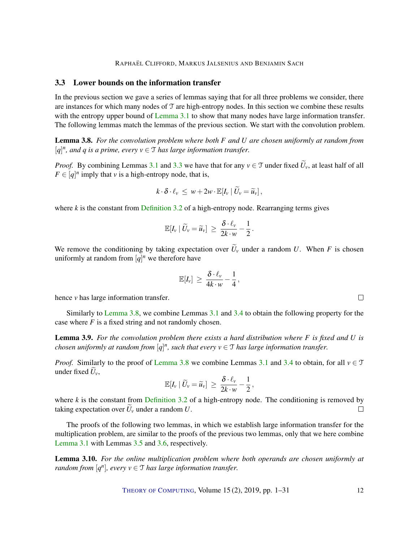# <span id="page-11-0"></span>3.3 Lower bounds on the information transfer

In the previous section we gave a series of lemmas saying that for all three problems we consider, there are instances for which many nodes of T are high-entropy nodes. In this section we combine these results with the entropy upper bound of [Lemma](#page-9-2) [3.1](#page-9-2) to show that many nodes have large information transfer. The following lemmas match the lemmas of the previous section. We start with the convolution problem.

<span id="page-11-1"></span>Lemma 3.8. *For the convolution problem where both F and U are chosen uniformly at random from*  $[q]^n$ , and q is a prime, every  $v \in \mathcal{T}$  has large information transfer.

*Proof.* By combining Lemmas [3.1](#page-9-2) and [3.3](#page-10-2) we have that for any  $v \in \mathcal{T}$  under fixed  $\widetilde{U}_v$ , at least half of all  $F \in [q]^n$  imply that *v* is a high-entropy node, that is,

$$
k\cdot \delta\cdot \ell_{\nu} \leq w + 2w\cdot \mathbb{E}[I_{\nu} | \widetilde{U}_{\nu} = \widetilde{u}_{\nu}],
$$

where  $k$  is the constant from [Definition](#page-10-3) [3.2](#page-10-3) of a high-entropy node. Rearranging terms gives

$$
\mathbb{E}[I_{\nu} \,|\, \widetilde{U}_{\nu} = \widetilde{u}_{\nu}] \, \geq \, \frac{\delta \cdot \ell_{\nu}}{2k \cdot w} - \frac{1}{2} \, .
$$

We remove the conditioning by taking expectation over  $\tilde{U}_v$  under a random *U*. When *F* is chosen uniformly at random from  $[q]^n$  we therefore have

$$
\mathbb{E}[I_{\nu}] \, \geq \, \frac{\delta \cdot \ell_{\nu}}{4k \cdot w} - \frac{1}{4} \, ,
$$

hence *v* has large information transfer.

Similarly to [Lemma](#page-11-1) [3.8,](#page-11-1) we combine Lemmas [3.1](#page-9-2) and [3.4](#page-10-4) to obtain the following property for the case where *F* is a fixed string and not randomly chosen.

<span id="page-11-2"></span>Lemma 3.9. *For the convolution problem there exists a hard distribution where F is fixed and U is chosen uniformly at random from*  $[q]^n$ , such that every  $v \in \mathcal{T}$  has large information transfer.

*Proof.* Similarly to the proof of [Lemma](#page-11-1) [3.8](#page-11-1) we combine Lemmas [3.1](#page-9-2) and [3.4](#page-10-4) to obtain, for all  $v \in \mathcal{T}$ under fixed  $U_{\nu}$ ,

$$
\mathbb{E}[I_{\nu} \,|\, \widetilde{U}_{\nu} = \widetilde{u}_{\nu}] \, \geq \, \frac{\delta \cdot \ell_{\nu}}{2k \cdot w} - \frac{1}{2} \,,
$$

where  $k$  is the constant from [Definition](#page-10-3) [3.2](#page-10-3) of a high-entropy node. The conditioning is removed by taking expectation over  $\tilde{U}_v$  under a random  $U$ .  $\Box$ 

The proofs of the following two lemmas, in which we establish large information transfer for the multiplication problem, are similar to the proofs of the previous two lemmas, only that we here combine [Lemma](#page-9-2) [3.1](#page-9-2) with Lemmas [3.5](#page-10-0) and [3.6,](#page-10-5) respectively.

Lemma 3.10. *For the online multiplication problem where both operands are chosen uniformly at random from*  $[q^n]$ *, every*  $v \in \mathcal{T}$  *has large information transfer.* 

THEORY OF C[OMPUTING](http://dx.doi.org/10.4086/toc), Volume 15 (2), 2019, pp. 1–31 12

 $\Box$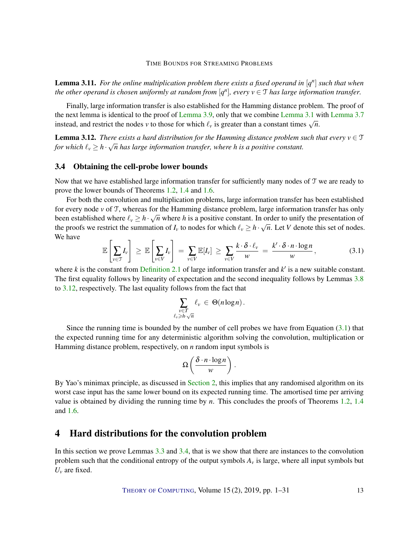<span id="page-12-4"></span>**Lemma 3.11.** For the online multiplication problem there exists a fixed operand in  $[q^n]$  such that when *the other operand is chosen uniformly at random from*  $[q^n]$ , every  $v \in \mathcal{T}$  *has large information transfer.* 

Finally, large information transfer is also established for the Hamming distance problem. The proof of the next lemma is identical to the proof of [Lemma](#page-11-2) [3.9,](#page-11-2) only that we combine [Lemma](#page-9-2) [3.1](#page-9-2) with [Lemma](#page-10-1) [3.7](#page-10-1) instead, and restrict the nodes *v* to those for which  $\ell_v$  is greater than a constant times  $\sqrt{n}$ .

<span id="page-12-2"></span>**Lemma 3.12.** *There exists a hard distribution for the Hamming distance problem such that every*  $v \in \mathcal{T}$ *for which*  $\ell_v \geq h \cdot \sqrt{n}$  *has large information transfer, where h is a positive constant.* 

# <span id="page-12-1"></span>3.4 Obtaining the cell-probe lower bounds

Now that we have established large information transfer for sufficiently many nodes of T we are ready to prove the lower bounds of Theorems [1.2,](#page-1-0) [1.4](#page-1-1) and [1.6.](#page-1-2)

For both the convolution and multiplication problems, large information transfer has been established for every node *v* of T, whereas for the Hamming distance problem, large information transfer has only been established where  $\ell_v \ge h \cdot \sqrt{n}$  where *h* is a positive constant. In order to unify the presentation of the proofs we restrict the summation of  $I_v$  to nodes for which  $\ell_v \ge h \cdot \sqrt{n}$ . Let *V* denote this set of nodes. We have *Allen*  $\mathbb{R}^+$ 

<span id="page-12-3"></span>
$$
\mathbb{E}\left[\sum_{v\in\mathcal{T}}I_{v}\right] \geq \mathbb{E}\left[\sum_{v\in V}I_{v}\right] = \sum_{v\in V}\mathbb{E}[I_{v}] \geq \sum_{v\in V}\frac{k\cdot\delta\cdot\ell_{v}}{w} = \frac{k'\cdot\delta\cdot n\cdot\log n}{w}, \qquad (3.1)
$$

where  $k$  is the constant from [Definition](#page-8-2) [2.1](#page-8-2) of large information transfer and  $k'$  is a new suitable constant. The first equality follows by linearity of expectation and the second inequality follows by Lemmas [3.8](#page-11-1) to [3.12,](#page-12-2) respectively. The last equality follows from the fact that

$$
\sum_{\substack{v \in T \\ \ell_v \geq h \cdot \sqrt{n}}} \ell_v \in \Theta(n \log n).
$$

Since the running time is bounded by the number of cell probes we have from Equation  $(3.1)$  that the expected running time for any deterministic algorithm solving the convolution, multiplication or Hamming distance problem, respectively, on *n* random input symbols is

$$
\Omega\left(\frac{\delta \cdot n \cdot \log n}{w}\right).
$$

By Yao's minimax principle, as discussed in [Section](#page-6-0) [2,](#page-6-0) this implies that any randomised algorithm on its worst case input has the same lower bound on its expected running time. The amortised time per arriving value is obtained by dividing the running time by *n*. This concludes the proofs of Theorems [1.2,](#page-1-0) [1.4](#page-1-1) and [1.6.](#page-1-2)

# <span id="page-12-0"></span>4 Hard distributions for the convolution problem

In this section we prove Lemmas [3.3](#page-10-2) and [3.4,](#page-10-4) that is we show that there are instances to the convolution problem such that the conditional entropy of the output symbols  $A<sub>v</sub>$  is large, where all input symbols but  $U_v$  are fixed.

THEORY OF C[OMPUTING](http://dx.doi.org/10.4086/toc), Volume  $15(2)$ ,  $2019$ , pp.  $1-31$  13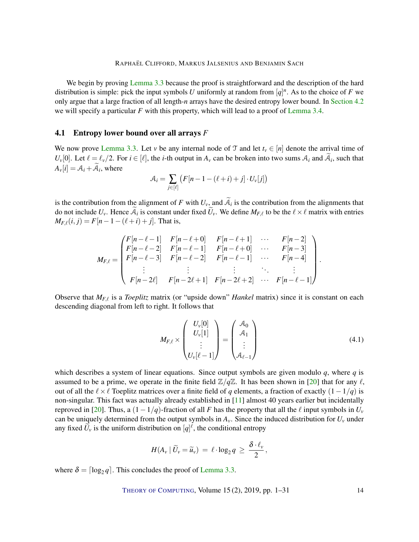<span id="page-13-1"></span>We begin by proving [Lemma](#page-10-2) [3.3](#page-10-2) because the proof is straightforward and the description of the hard distribution is simple: pick the input symbols *U* uniformly at random from  $[q]^n$ . As to the choice of *F* we only argue that a large fraction of all length-*n* arrays have the desired entropy lower bound. In [Section](#page-14-0) [4.2](#page-14-0) we will specify a particular *F* with this property, which will lead to a proof of [Lemma](#page-10-4) [3.4.](#page-10-4)

# 4.1 Entropy lower bound over all arrays *F*

We now prove [Lemma](#page-10-2) [3.3.](#page-10-2) Let *v* be any internal node of T and let  $t<sub>v</sub> \in [n]$  denote the arrival time of *U*<sup>*v*</sup>[0]. Let  $\ell = \ell_v/2$ . For  $i \in [\ell]$ , the *i*-th output in  $A_v$  can be broken into two sums  $A_i$  and  $A_i$ , such that  $A_{\nu}[i] = A_i + A_i$ , where

$$
\mathcal{A}_i = \sum_{j \in [\ell]} \left( F[n-1-(\ell+i)+j] \cdot U_v[j] \right)
$$

is the contribution from the alignment of *F* with  $U_v$ , and  $A_i$  is the contribution from the alignments that do not include  $U_v$ . Hence  $A_i$  is constant under fixed  $U_v$ . We define  $M_{F,\ell}$  to be the  $\ell \times \ell$  matrix with entries  $M_{F,\ell}(i, j) = F[n-1-(\ell+i)+j]$ . That is,

$$
M_{F,\ell} = \begin{pmatrix} F[n-\ell-1] & F[n-\ell+0] & F[n-\ell+1] & \cdots & F[n-2] \\ F[n-\ell-2] & F[n-\ell-1] & F[n-\ell+0] & \cdots & F[n-3] \\ F[n-\ell-3] & F[n-\ell-2] & F[n-\ell-1] & \cdots & F[n-4] \\ \vdots & \vdots & \vdots & \ddots & \vdots \\ F[n-2\ell] & F[n-2\ell+1] & F[n-2\ell+2] & \cdots & F[n-\ell-1] \end{pmatrix}.
$$

Observe that  $M_{F,\ell}$  is a *Toeplitz* matrix (or "upside down" *Hankel* matrix) since it is constant on each descending diagonal from left to right. It follows that

<span id="page-13-0"></span>
$$
M_{F,\ell} \times \begin{pmatrix} U_{\nu}[0] \\ U_{\nu}[1] \\ \vdots \\ U_{\nu}[\ell-1] \end{pmatrix} = \begin{pmatrix} A_0 \\ A_1 \\ \vdots \\ A_{\ell-1} \end{pmatrix}
$$
(4.1)

which describes a system of linear equations. Since output symbols are given modulo *q*, where *q* is assumed to be a prime, we operate in the finite field  $\mathbb{Z}/q\mathbb{Z}$ . It has been shown in [\[20\]](#page-28-14) that for any  $\ell$ , out of all the  $\ell \times \ell$  Toeplitz matrices over a finite field of *q* elements, a fraction of exactly  $(1-1/q)$  is non-singular. This fact was actually already established in [\[11\]](#page-27-11) almost 40 years earlier but incidentally reproved in [\[20\]](#page-28-14). Thus, a  $(1-1/q)$ -fraction of all *F* has the property that all the  $\ell$  input symbols in  $U_\nu$ can be uniquely determined from the output symbols in  $A<sub>v</sub>$ . Since the induced distribution for  $U<sub>v</sub>$  under any fixed  $\widetilde{U}_v$  is the uniform distribution on  $[q]^\ell$ , the conditional entropy

$$
H(A_v \,|\, \widetilde{U}_v = \widetilde{u}_v) \,=\, \ell \cdot \log_2 q \,\geq\, \frac{\delta \cdot \ell_v}{2}\,,
$$

where  $\delta = \lceil \log_2 q \rceil$ . This concludes the proof of [Lemma](#page-10-2) [3.3.](#page-10-2)

THEORY OF C[OMPUTING](http://dx.doi.org/10.4086/toc), Volume  $15(2)$ ,  $2019$ , pp.  $1-31$  14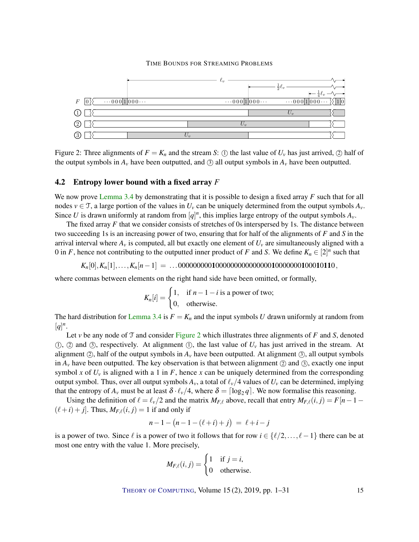

<span id="page-14-1"></span>Figure 2: Three alignments of  $F = K_n$  and the stream *S*: ① the last value of  $U_v$  has just arrived, ② half of the output symbols in  $A_v$  have been outputted, and  $\odot$  all output symbols in  $A_v$  have been outputted.

# <span id="page-14-0"></span>4.2 Entropy lower bound with a fixed array *F*

We now prove [Lemma](#page-10-4) [3.4](#page-10-4) by demonstrating that it is possible to design a fixed array *F* such that for all nodes  $v \in \mathcal{T}$ , a large portion of the values in  $U_v$  can be uniquely determined from the output symbols  $A_v$ . Since *U* is drawn uniformly at random from  $[q]^n$ , this implies large entropy of the output symbols  $A_\nu$ .

The fixed array *F* that we consider consists of stretches of 0s interspersed by 1s. The distance between two succeeding 1s is an increasing power of two, ensuring that for half of the alignments of *F* and *S* in the arrival interval where  $A_v$  is computed, all but exactly one element of  $U_v$  are simultaneously aligned with a 0 in *F*, hence not contributing to the outputted inner product of *F* and *S*. We define  $K_n \in [2]^n$  such that

*Kn*[0],*Kn*[1],...,*Kn*[*n*−1] = ...000000000100000000000000010000000100010110,

where commas between elements on the right hand side have been omitted, or formally,

$$
K_n[i] = \begin{cases} 1, & \text{if } n - 1 - i \text{ is a power of two;} \\ 0, & \text{otherwise.} \end{cases}
$$

The hard distribution for [Lemma](#page-10-4) [3.4](#page-10-4) is  $F = K_n$  and the input symbols *U* drawn uniformly at random from  $[q]$ <sup>*n*</sup>.

Let  $\nu$  be any node of  $\mathcal T$  and consider [Figure](#page-14-1) [2](#page-14-1) which illustrates three alignments of  $F$  and  $S$ , denoted (1), (2) and (3), respectively. At alignment (1), the last value of  $U_v$  has just arrived in the stream. At alignment  $(2)$ , half of the output symbols in  $A<sub>v</sub>$  have been outputted. At alignment  $(3)$ , all output symbols in  $A_\nu$  have been outputted. The key observation is that between alignment  $(2)$  and  $(3)$ , exactly one input symbol *x* of  $U_v$  is aligned with a 1 in *F*, hence *x* can be uniquely determined from the corresponding output symbol. Thus, over all output symbols  $A_v$ , a total of  $\ell_v/4$  values of  $U_v$  can be determined, implying that the entropy of  $A_v$  must be at least  $\delta \cdot \ell_v/4$ , where  $\delta = \lceil \log_2 q \rceil$ . We now formalise this reasoning.

Using the definition of  $\ell = \ell_v/2$  and the matrix  $M_{F,\ell}$  above, recall that entry  $M_{F,\ell}(i, j) = F[n-1-j]$  $(\ell + i) + j$ . Thus,  $M_{F,\ell}(i, j) = 1$  if and only if

$$
n-1 - (n-1 - (\ell + i) + j) = \ell + i - j
$$

is a power of two. Since  $\ell$  is a power of two it follows that for row  $i \in \{\ell/2,\ldots,\ell-1\}$  there can be at most one entry with the value 1. More precisely,

$$
M_{F,\ell}(i,j) = \begin{cases} 1 & \text{if } j = i, \\ 0 & \text{otherwise.} \end{cases}
$$

THEORY OF C[OMPUTING](http://dx.doi.org/10.4086/toc), Volume 15 (2), 2019, pp. 1–31 15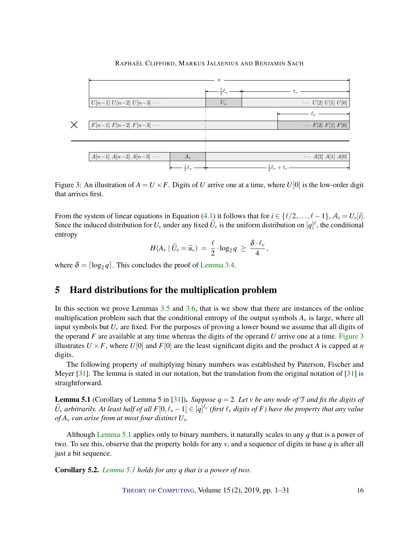# <span id="page-15-3"></span> $U[n-1] U[n-2] U[n-3] \cdots$   $U_v$   $U_v$   $\cdots$   $U[2] U[1] U[0]$  $A[n-1] \ A[n-2] \ A[n-3] \ \cdots \ \Big| \ \ A_v \ \Big| \ \cdots \ \Big| \ \cdots \ \Big| A[1] \ A[0]$  $\eta$  $t_v$  $rac{1}{2}\ell_v$  $\ell_v$  $\frac{1}{2}\ell_v + t_v$  $U_v$  $A_{\gamma}$  $\chi$   $\boxed{F[n-1] \ F[n-2] \ F[n-3] \ \cdots}$   $\cdots$   $F[2] \ F[1] \ F[0]$  $rac{1}{2}\ell_v$

## RAPHAËL CLIFFORD, MARKUS JALSENIUS AND BENJAMIN SACH

<span id="page-15-1"></span>Figure 3: An illustration of  $A = U \times F$ . Digits of *U* arrive one at a time, where  $U[0]$  is the low-order digit that arrives first.

From the system of linear equations in Equation [\(4.1\)](#page-13-0) it follows that for  $i \in \{\ell/2,\ldots,\ell-1\}, \mathcal{A}_i = U_{\nu}[i].$ Since the induced distribution for  $U_\nu$  under any fixed  $\tilde{U}_\nu$  is the uniform distribution on  $[q]^\ell$ , the conditional entropy

$$
H(A_v \,|\, \widetilde{U}_v = \widetilde{u}_v) \,=\, \frac{\ell}{2} \cdot \log_2 q \,\geq\, \frac{\delta \cdot \ell_v}{4} \,,
$$

where  $\delta = \lceil \log_2 q \rceil$ . This concludes the proof of [Lemma](#page-10-4) [3.4.](#page-10-4)

# <span id="page-15-0"></span>5 Hard distributions for the multiplication problem

In this section we prove Lemmas [3.5](#page-10-0) and [3.6,](#page-10-5) that is we show that there are instances of the online multiplication problem such that the conditional entropy of the output symbols  $A<sub>v</sub>$  is large, where all input symbols but  $U_v$  are fixed. For the purposes of proving a lower bound we assume that all digits of the operand *F* are available at any time whereas the digits of the operand *U* arrive one at a time. [Figure](#page-15-1) [3](#page-15-1) illustrates  $U \times F$ , where  $U[0]$  and  $F[0]$  are the least significant digits and the product *A* is capped at *n* digits.

The following property of multiplying binary numbers was established by Paterson, Fischer and Meyer [\[31\]](#page-29-4). The lemma is stated in our notation, but the translation from the original notation of [31] is straightforward.

<span id="page-15-2"></span>Lemma 5.1 (Corollary of Lemma 5 in [\[31\]](#page-29-4)). *Suppose q* = 2*. Let v be any node of* T *and fix the digits of*  $\widetilde{U}_v$  *arbitrarily. At least half of all*  $F[0, \ell_v-1] \in [q]^{\ell_v}$  (first  $\ell_v$  digits of F) have the property that any value *of A<sup>v</sup> can arise from at most four distinct Uv.*

Although [Lemma](#page-15-2) [5.1](#page-15-2) applies only to binary numbers, it naturally scales to any *q* that is a power of two. To see this, observe that the property holds for any  $v$ , and a sequence of digits in base  $q$  is after all just a bit sequence.

Corollary 5.2. *[Lemma](#page-15-2) [5.1](#page-15-2) holds for any q that is a power of two.*

THEORY OF C[OMPUTING](http://dx.doi.org/10.4086/toc), Volume  $15(2)$ ,  $2019$ , pp.  $1-31$  16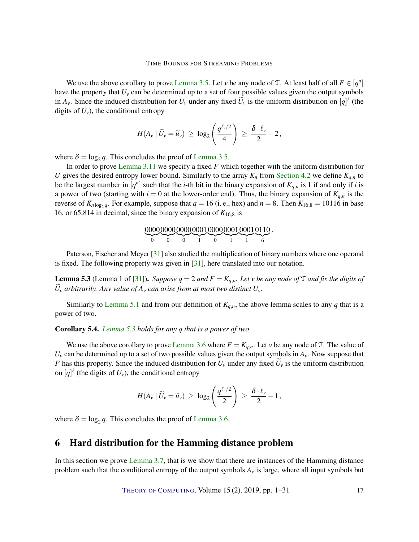<span id="page-16-2"></span>We use the above corollary to prove [Lemma](#page-10-0) [3.5.](#page-10-0) Let *v* be any node of T. At least half of all  $F \in [q^n]$ have the property that  $U_v$  can be determined up to a set of four possible values given the output symbols in  $A_v$ . Since the induced distribution for  $U_v$  under any fixed  $\tilde{U}_v$  is the uniform distribution on  $[q]^\ell$  (the digits of  $U_v$ ), the conditional entropy

$$
H(A_v \mid \widetilde{U}_v = \widetilde{u}_v) \ \geq \ \log_2\left(\frac{q^{\ell_v/2}}{4}\right) \ \geq \ \frac{\delta \cdot \ell_v}{2} - 2 \,,
$$

where  $\delta = \log_2 q$ . This concludes the proof of [Lemma](#page-10-0) [3.5.](#page-10-0)

In order to prove [Lemma](#page-12-4) [3.11](#page-12-4) we specify a fixed *F* which together with the uniform distribution for *U* gives the desired entropy lower bound. Similarly to the array  $K_n$  from [Section](#page-14-0) [4.2](#page-14-0) we define  $K_{q,n}$  to be the largest number in  $[q^n]$  such that the *i*-th bit in the binary expansion of  $K_{q,n}$  is 1 if and only if *i* is a power of two (starting with  $i = 0$  at the lower-order end). Thus, the binary expansion of  $K_{q,n}$  is the reverse of  $K_{n \log_2 q}$ . For example, suppose that  $q = 16$  (i.e., hex) and  $n = 8$ . Then  $K_{16,8} = 10116$  in base 16, or 65,814 in decimal, since the binary expansion of  $K_{16,8}$  is

$$
\underbrace{0000000000000001000000100010110}_{1}.
$$

Paterson, Fischer and Meyer [\[31\]](#page-29-4) also studied the multiplication of binary numbers where one operand is fixed. The following property was given in [\[31\]](#page-29-4), here translated into our notation.

<span id="page-16-1"></span>**Lemma 5.3** (Lemma 1 of [\[31\]](#page-29-4)). *Suppose*  $q = 2$  *and*  $F = K_{q,n}$ *. Let v be any node of*  $\mathcal{T}$  *and fix the digits of*  $U_v$  *arbitrarily. Any value of*  $A_v$  *can arise from at most two distinct*  $U_v$ *.* 

Similarly to [Lemma](#page-15-2) [5.1](#page-15-2) and from our definition of  $K_{q,n}$ , the above lemma scales to any *q* that is a power of two.

# Corollary 5.4. *[Lemma](#page-16-1) [5.3](#page-16-1) holds for any q that is a power of two.*

We use the above corollary to prove [Lemma](#page-10-5) [3.6](#page-10-5) where  $F = K_{q,n}$ . Let *v* be any node of T. The value of  $U_{\nu}$  can be determined up to a set of two possible values given the output symbols in  $A_{\nu}$ . Now suppose that *F* has this property. Since the induced distribution for  $U_v$  under any fixed  $U_v$  is the uniform distribution on  $[q]^\ell$  (the digits of  $U_\nu$ ), the conditional entropy

$$
H(A_v \,|\, \widetilde{U}_v = \widetilde{u}_v) \, \geq \, \log_2\left(\frac{q^{\ell_v/2}}{2}\right) \, \geq \, \frac{\delta \cdot \ell_v}{2} - 1\,,
$$

where  $\delta = \log_2 q$ . This concludes the proof of [Lemma](#page-10-5) [3.6.](#page-10-5)

# <span id="page-16-0"></span>6 Hard distribution for the Hamming distance problem

In this section we prove [Lemma](#page-10-1) [3.7,](#page-10-1) that is we show that there are instances of the Hamming distance problem such that the conditional entropy of the output symbols  $A<sub>v</sub>$  is large, where all input symbols but

THEORY OF C[OMPUTING](http://dx.doi.org/10.4086/toc), Volume 15 (2), 2019, pp. 1–31 17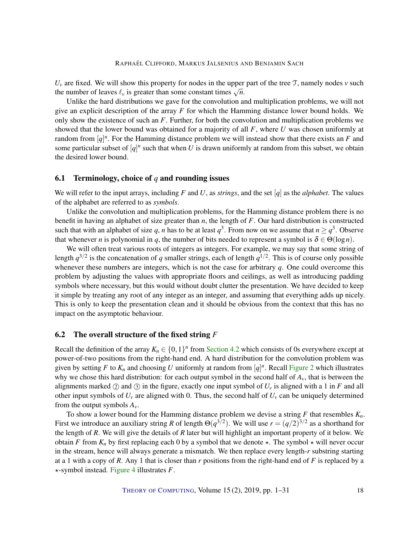$U_{\nu}$  are fixed. We will show this property for nodes in the upper part of the tree  $\mathcal{T}$ , namely nodes  $\nu$  such the number of leaves  $\ell_v$  is greater than some constant times  $\sqrt{n}$ .

Unlike the hard distributions we gave for the convolution and multiplication problems, we will not give an explicit description of the array *F* for which the Hamming distance lower bound holds. We only show the existence of such an *F*. Further, for both the convolution and multiplication problems we showed that the lower bound was obtained for a majority of all *F*, where *U* was chosen uniformly at random from  $[q]^n$ . For the Hamming distance problem we will instead show that there exists an  $F$  and some particular subset of  $[q]^n$  such that when *U* is drawn uniformly at random from this subset, we obtain the desired lower bound.

### <span id="page-17-0"></span>6.1 Terminology, choice of *q* and rounding issues

We will refer to the input arrays, including  $F$  and  $U$ , as *strings*, and the set  $[q]$  as the *alphabet*. The values of the alphabet are referred to as *symbols*.

Unlike the convolution and multiplication problems, for the Hamming distance problem there is no benefit in having an alphabet of size greater than *n*, the length of *F*. Our hard distribution is constructed such that with an alphabet of size *q*, *n* has to be at least  $q^3$ . From now on we assume that  $n \ge q^3$ . Observe that whenever *n* is polynomial in *q*, the number of bits needed to represent a symbol is  $\delta \in \Theta(\log n)$ .

We will often treat various roots of integers as integers. For example, we may say that some string of length  $q^{3/2}$  is the concatenation of *q* smaller strings, each of length  $q^{1/2}$ . This is of course only possible whenever these numbers are integers, which is not the case for arbitrary *q*. One could overcome this problem by adjusting the values with appropriate floors and ceilings, as well as introducing padding symbols where necessary, but this would without doubt clutter the presentation. We have decided to keep it simple by treating any root of any integer as an integer, and assuming that everything adds up nicely. This is only to keep the presentation clean and it should be obvious from the context that this has no impact on the asymptotic behaviour.

# 6.2 The overall structure of the fixed string *F*

Recall the definition of the array  $K_n \in \{0,1\}^n$  from [Section](#page-14-0) [4.2](#page-14-0) which consists of 0s everywhere except at power-of-two positions from the right-hand end. A hard distribution for the convolution problem was given by setting *F* to  $K_n$  and choosing *U* uniformly at random from  $[q]^n$ . Recall [Figure](#page-14-1) [2](#page-14-1) which illustrates why we chose this hard distribution: for each output symbol in the second half of  $A<sub>v</sub>$ , that is between the alignments marked  $\oslash$  and  $\oslash$  in the figure, exactly one input symbol of  $U_v$  is aligned with a 1 in *F* and all other input symbols of  $U_v$  are aligned with 0. Thus, the second half of  $U_v$  can be uniquely determined from the output symbols  $A_{\nu}$ .

To show a lower bound for the Hamming distance problem we devise a string *F* that resembles *Kn*. First we introduce an auxiliary string *R* of length  $\Theta(q^{3/2})$ . We will use  $r = (q/2)^{3/2}$  as a shorthand for the length of *R*. We will give the details of *R* later but will highlight an important property of it below. We obtain *F* from  $K_n$  by first replacing each 0 by a symbol that we denote  $\star$ . The symbol  $\star$  will never occur in the stream, hence will always generate a mismatch. We then replace every length-*r* substring starting at a 1 with a copy of *R*. Any 1 that is closer than *r* positions from the right-hand end of *F* is replaced by a ?-symbol instead. [Figure](#page-18-0) [4](#page-18-0) illustrates *F*.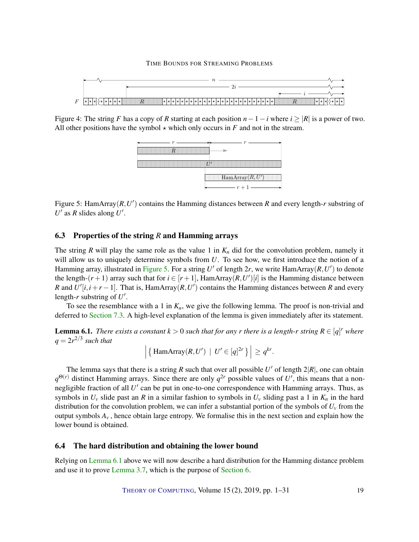

<span id="page-18-0"></span>Figure 4: The string *F* has a copy of *R* starting at each position  $n-1-i$  where  $i \geq |R|$  is a power of two. All other positions have the symbol  $\star$  which only occurs in *F* and not in the stream.



<span id="page-18-1"></span>Figure 5: HamArray(*R*,*U'*) contains the Hamming distances between *R* and every length-*r* substring of  $U'$  as  $R$  slides along  $U'$ .

# 6.3 Properties of the string *R* and Hamming arrays

The string *R* will play the same role as the value 1 in  $K_n$  did for the convolution problem, namely it will allow us to uniquely determine symbols from *U*. To see how, we first introduce the notion of a Hamming array, illustrated in [Figure](#page-18-1) [5.](#page-18-1) For a string  $U'$  of length 2r, we write HamArray $(R, U')$  to denote the length- $(r+1)$  array such that for  $i \in [r+1]$ , HamArray $(R, U')[i]$  is the Hamming distance between *R* and  $U'[i,i+r-1]$ . That is, HamArray(*R*,*U*') contains the Hamming distances between *R* and every length- $r$  substring of  $U'$ .

To see the resemblance with a 1 in  $K_n$ , we give the following lemma. The proof is non-trivial and deferred to [Section](#page-21-0) [7.3.](#page-21-0) A high-level explanation of the lemma is given immediately after its statement.

<span id="page-18-2"></span>**Lemma 6.1.** *There exists a constant*  $k > 0$  *such that for any r there is a length-r string*  $R \in [q]^r$  *where*  $q = 2r^{2/3}$  such that

$$
\left| \left\{\ \mathrm{HamArray}(R, U') \ \mid \ U' \in [q]^{2r} \right\} \right| \geq q^{kr}.
$$

The lemma says that there is a string *R* such that over all possible *U'* of length  $2|R|$ , one can obtain  $q^{\Theta(r)}$  distinct Hamming arrays. Since there are only  $q^{2r}$  possible values of U', this means that a nonnegligible fraction of all U' can be put in one-to-one correspondence with Hamming arrays. Thus, as symbols in  $U_v$  slide past an *R* in a similar fashion to symbols in  $U_v$  sliding past a 1 in  $K_n$  in the hard distribution for the convolution problem, we can infer a substantial portion of the symbols of  $U_\nu$  from the output symbols  $A<sub>v</sub>$ , hence obtain large entropy. We formalise this in the next section and explain how the lower bound is obtained.

### 6.4 The hard distribution and obtaining the lower bound

Relying on [Lemma](#page-18-2) [6.1](#page-18-2) above we will now describe a hard distribution for the Hamming distance problem and use it to prove [Lemma](#page-10-1) [3.7,](#page-10-1) which is the purpose of [Section](#page-16-0) [6.](#page-16-0)

THEORY OF C[OMPUTING](http://dx.doi.org/10.4086/toc), Volume 15 (2), 2019, pp. 1–31 19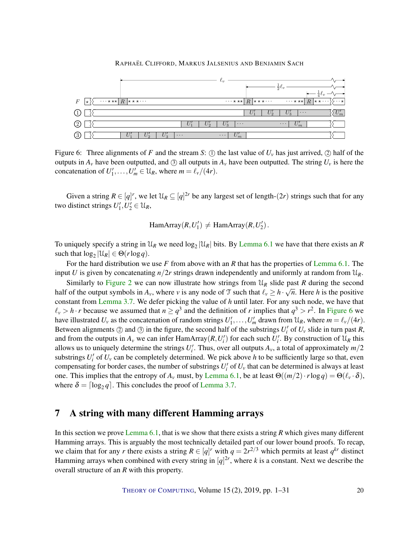

<span id="page-19-1"></span>Figure 6: Three alignments of *F* and the stream *S*: (1) the last value of  $U_v$  has just arrived, (2) half of the outputs in  $A_v$  have been outputted, and  $\circ$  all outputs in  $A_v$  have been outputted. The string  $U_v$  is here the concatenation of  $U'_1, \ldots, U'_m \in \mathcal{U}_R$ , where  $m = \ell_v/(4r)$ .

Given a string  $R \in [q]^r$ , we let  $\mathcal{U}_R \subseteq [q]^{2r}$  be any largest set of length- $(2r)$  strings such that for any two distinct strings  $U'_1, U'_2 \in \mathcal{U}_R$ ,

 $\text{HamArray}(R, U_1') \neq \text{HamArray}(R, U_2')$ .

To uniquely specify a string in  $\mathcal{U}_R$  we need  $\log_2 |\mathcal{U}_R|$  bits. By [Lemma](#page-18-2) [6.1](#page-18-2) we have that there exists an *R* such that  $\log_2 |\mathcal{U}_R| \in \Theta(r \log q)$ .

For the hard distribution we use *F* from above with an *R* that has the properties of [Lemma](#page-18-2) [6.1.](#page-18-2) The input *U* is given by concatenating  $n/2r$  strings drawn independently and uniformly at random from  $\mathcal{U}_R$ .

Similarly to [Figure](#page-14-1) [2](#page-14-1) we can now illustrate how strings from  $\mathcal{U}_R$  slide past R during the second half of the output symbols in  $A_v$ , where *v* is any node of  $\mathcal{T}$  such that  $\ell_v \ge h \cdot \sqrt{n}$ . Here *h* is the positive constant from [Lemma](#page-10-1) [3.7.](#page-10-1) We defer picking the value of *h* until later. For any such node, we have that  $\ell_v > h \cdot r$  because we assumed that  $n \ge q^3$  and the definition of *r* implies that  $q^3 > r^2$ . In [Figure](#page-19-1) [6](#page-19-1) we have illustrated  $U_v$  as the concatenation of random strings  $U'_1, \ldots, U'_m$  drawn from  $\mathcal{U}_R$ , where  $m = \ell_v/(4r)$ . Between alignments  $\circled{2}$  and  $\circled{3}$  in the figure, the second half of the substrings  $U_i'$  of  $U_v$  slide in turn past *R*, and from the outputs in  $A_v$  we can infer HamArray( $R, U_i'$ ) for each such  $U_i'$ . By construction of  $\mathcal{U}_R$  this allows us to uniquely determine the strings  $U_i'$ . Thus, over all outputs  $A_\nu$ , a total of approximately  $m/2$ substrings  $U_i'$  of  $U_v$  can be completely determined. We pick above *h* to be sufficiently large so that, even compensating for border cases, the number of substrings  $U_i'$  of  $U_v$  that can be determined is always at least one. This implies that the entropy of  $A_\nu$  must, by [Lemma](#page-18-2) [6.1,](#page-18-2) be at least  $\Theta((m/2) \cdot r \log q) = \Theta(\ell_\nu \cdot \delta)$ , where  $\delta = \lceil \log_2 q \rceil$ . This concludes the proof of [Lemma](#page-10-1) [3.7.](#page-10-1)

# <span id="page-19-0"></span>7 A string with many different Hamming arrays

In this section we prove [Lemma](#page-18-2) [6.1,](#page-18-2) that is we show that there exists a string *R* which gives many different Hamming arrays. This is arguably the most technically detailed part of our lower bound proofs. To recap, we claim that for any *r* there exists a string  $R \in [q]^r$  with  $q = 2r^{2/3}$  which permits at least  $q^{kr}$  distinct Hamming arrays when combined with every string in  $[q]^{2r}$ , where *k* is a constant. Next we describe the overall structure of an *R* with this property.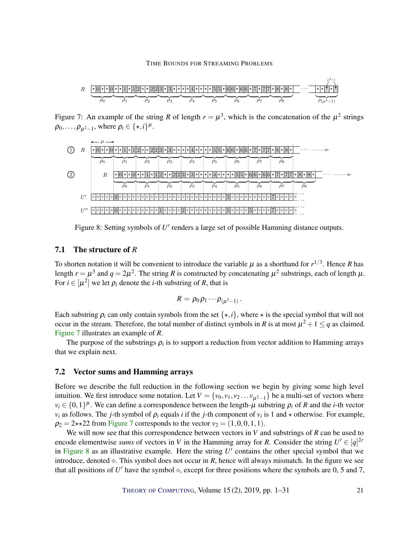

<span id="page-20-0"></span>Figure 7: An example of the string R of length  $r = \mu^3$ , which is the concatenation of the  $\mu^2$  strings  $\rho_0, \ldots, \rho_{\mu^2-1}$ , where  $\rho_i \in {\{\star, i\}}^{\mu}$ .



<span id="page-20-1"></span>Figure 8: Setting symbols of  $U'$  renders a large set of possible Hamming distance outputs.

# 7.1 The structure of *R*

To shorten notation it will be convenient to introduce the variable  $\mu$  as a shorthand for  $r^{1/3}$ . Hence R has length  $r = \mu^3$  and  $q = 2\mu^2$ . The string R is constructed by concatenating  $\mu^2$  substrings, each of length  $\mu$ . For  $i \in [\mu^2]$  we let  $\rho_i$  denote the *i*-th substring of *R*, that is

$$
R=\rho_0\rho_1\cdots\rho_{(\mu^2-1)}.
$$

Each substring  $\rho_i$  can only contain symbols from the set  $\{\star, i\}$ , where  $\star$  is the special symbol that will not occur in the stream. Therefore, the total number of distinct symbols in *R* is at most  $\mu^2 + 1 \le q$  as claimed. [Figure](#page-20-0) [7](#page-20-0) illustrates an example of *R*.

The purpose of the substrings  $\rho_i$  is to support a reduction from vector addition to Hamming arrays that we explain next.

### <span id="page-20-2"></span>7.2 Vector sums and Hamming arrays

Before we describe the full reduction in the following section we begin by giving some high level intuition. We first introduce some notation. Let  $V = \{v_0, v_1, v_2, \ldots, v_{\mu^2-1}\}\)$  be a multi-set of vectors where  $v_i \in \{0,1\}^{\mu}$ . We can define a correspondence between the length- $\mu$  substring  $\rho_i$  of *R* and the *i*-th vector *v*<sub>*i*</sub> as follows. The *j*-th symbol of  $\rho_i$  equals *i* if the *j*-th component of *v*<sub>*i*</sub> is 1 and  $\star$  otherwise. For example,  $\rho_2 = 2 \star \star 22$  from [Figure](#page-20-0) [7](#page-20-0) corresponds to the vector  $v_2 = (1,0,0,1,1)$ .

We will now see that this correspondence between vectors in *V* and substrings of *R* can be used to encode elementwise *sums* of vectors in *V* in the Hamming array for *R*. Consider the string  $U' \in [q]^{2r}$ in [Figure](#page-20-1)  $8$  as an illustrative example. Here the string  $U'$  contains the other special symbol that we introduce, denoted  $\circ$ . This symbol does not occur in *R*, hence will always mismatch. In the figure we see that all positions of  $U'$  have the symbol  $\diamond$ , except for three positions where the symbols are 0, 5 and 7,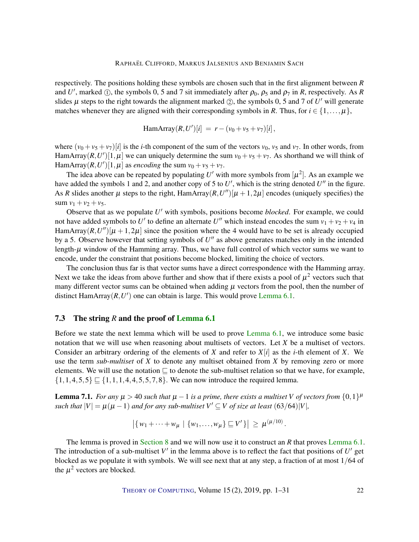respectively. The positions holding these symbols are chosen such that in the first alignment between *R* and *U'*, marked ①, the symbols 0, 5 and 7 sit immediately after  $\rho_0$ ,  $\rho_5$  and  $\rho_7$  in *R*, respectively. As *R* slides  $\mu$  steps to the right towards the alignment marked  $(2)$ , the symbols 0, 5 and 7 of *U'* will generate matches whenever they are aligned with their corresponding symbols in *R*. Thus, for  $i \in \{1, \ldots, \mu\}$ ,

HamArray
$$
(R, U')[i] = r - (v_0 + v_5 + v_7)[i],
$$

where  $(v_0 + v_5 + v_7)[i]$  is the *i*-th component of the sum of the vectors  $v_0$ ,  $v_5$  and  $v_7$ . In other words, from HamArray $(R, U')[1, \mu]$  we can uniquely determine the sum  $v_0 + v_5 + v_7$ . As shorthand we will think of HamArray( $R$ , $U'$ )[1, $\mu$ ] as *encoding* the sum  $v_0 + v_5 + v_7$ .

The idea above can be repeated by populating  $U'$  with more symbols from  $[\mu^2]$ . As an example we have added the symbols 1 and 2, and another copy of 5 to  $U'$ , which is the string denoted  $U''$  in the figure. As *R* slides another  $\mu$  steps to the right, HamArray $(R, U'')[\mu + 1, 2\mu]$  encodes (uniquely specifies) the sum  $v_1 + v_2 + v_5$ .

Observe that as we populate U' with symbols, positions become *blocked*. For example, we could not have added symbols to U' to define an alternate U'' which instead encodes the sum  $v_1 + v_2 + v_4$  in HamArray $(R, U'')[\mu + 1, 2\mu]$  since the position where the 4 would have to be set is already occupied by a 5. Observe however that setting symbols of  $U''$  as above generates matches only in the intended length- $\mu$  window of the Hamming array. Thus, we have full control of which vector sums we want to encode, under the constraint that positions become blocked, limiting the choice of vectors.

The conclusion thus far is that vector sums have a direct correspondence with the Hamming array. Next we take the ideas from above further and show that if there exists a pool of  $\mu^2$  vectors such that many different vector sums can be obtained when adding  $\mu$  vectors from the pool, then the number of distinct HamArray $(R, U')$  one can obtain is large. This would prove [Lemma](#page-18-2) [6.1.](#page-18-2)

## <span id="page-21-0"></span>7.3 The string *R* and the proof of [Lemma](#page-18-2) [6.1](#page-18-2)

Before we state the next lemma which will be used to prove [Lemma](#page-18-2) [6.1,](#page-18-2) we introduce some basic notation that we will use when reasoning about multisets of vectors. Let *X* be a multiset of vectors. Consider an arbitrary ordering of the elements of *X* and refer to  $X[i]$  as the *i*-th element of *X*. We use the term *sub-multiset* of *X* to denote any multiset obtained from *X* by removing zero or more elements. We will use the notation  $\sqsubseteq$  to denote the sub-multiset relation so that we have, for example,  $\{1,1,4,5,5\} \sqsubseteq \{1,1,1,4,4,5,5,7,8\}$ . We can now introduce the required lemma.

<span id="page-21-1"></span>**Lemma 7.1.** *For any*  $\mu > 40$  *such that*  $\mu - 1$  *is a prime, there exists a multiset V of vectors from*  $\{0,1\}^{\mu}$ *such that*  $|V| = \mu(\mu - 1)$  *and for any sub-multiset*  $V' \subseteq V$  *of size at least* (63/64)|*V*|*,* 

$$
|\{w_1 + \cdots + w_\mu \mid \{w_1, \ldots, w_\mu\} \sqsubseteq V'\}| \ge \mu^{(\mu/10)}.
$$

The lemma is proved in [Section](#page-23-0) [8](#page-23-0) and we will now use it to construct an *R* that proves [Lemma](#page-18-2) [6.1.](#page-18-2) The introduction of a sub-multiset  $V'$  in the lemma above is to reflect the fact that positions of  $U'$  get blocked as we populate it with symbols. We will see next that at any step, a fraction of at most 1/64 of the  $\mu^2$  vectors are blocked.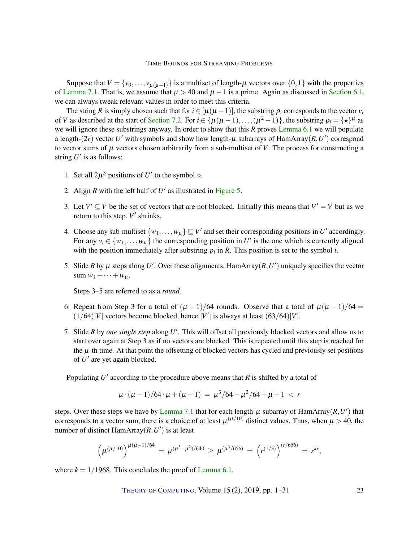Suppose that  $V = \{v_0, \ldots, v_{\mu(\mu-1)}\}$  is a multiset of length- $\mu$  vectors over  $\{0,1\}$  with the properties of [Lemma](#page-21-1) [7.1.](#page-21-1) That is, we assume that  $\mu > 40$  and  $\mu - 1$  is a prime. Again as discussed in [Section](#page-17-0) [6.1,](#page-17-0) we can always tweak relevant values in order to meet this criteria.

The string *R* is simply chosen such that for  $i \in [\mu(\mu-1)]$ , the substring  $\rho_i$  corresponds to the vector  $v_i$ of *V* as described at the start of [Section](#page-20-2) [7.2.](#page-20-2) For  $i \in \{\mu(\mu-1),...,( \mu^2-1)\}\$ , the substring  $\rho_i = \{\star\}^{\mu}$  as we will ignore these substrings anyway. In order to show that this *R* proves [Lemma](#page-18-2) [6.1](#page-18-2) we will populate a length-(2*r*) vector  $U'$  with symbols and show how length- $\mu$  subarrays of HamArray(*R*, $U'$ ) correspond to vector sums of  $\mu$  vectors chosen arbitrarily from a sub-multiset of  $V$ . The process for constructing a string  $U'$  is as follows:

- 1. Set all  $2\mu^3$  positions of *U'* to the symbol  $\diamond$ .
- 2. Align  $R$  with the left half of  $U'$  as illustrated in [Figure](#page-18-1) [5.](#page-18-1)
- 3. Let  $V' \subseteq V$  be the set of vectors that are not blocked. Initially this means that  $V' = V$  but as we return to this step,  $V'$  shrinks.
- 4. Choose any sub-multiset  $\{w_1, \ldots, w_\mu\} \sqsubseteq V'$  and set their corresponding positions in *U'* accordingly. For any  $v_i \in \{w_1, \ldots, w_\mu\}$  the corresponding position in U' is the one which is currently aligned with the position immediately after substring  $p_i$  in  $R$ . This position is set to the symbol  $i$ .
- 5. Slide *R* by  $\mu$  steps along *U'*. Over these alignments, HamArray(*R*,*U'*) uniquely specifies the vector  $sum w_1 + \cdots + w_u$ .

Steps 3–5 are referred to as a *round*.

- 6. Repeat from Step 3 for a total of  $(\mu 1)/64$  rounds. Observe that a total of  $\mu(\mu 1)/64 =$  $(1/64)|V|$  vectors become blocked, hence  $|V'|$  is always at least  $(63/64)|V|$ .
- 7. Slide *R* by *one single step* along *U* 0 . This will offset all previously blocked vectors and allow us to start over again at Step 3 as if no vectors are blocked. This is repeated until this step is reached for the  $\mu$ -th time. At that point the offsetting of blocked vectors has cycled and previously set positions of U' are yet again blocked.

Populating  $U'$  according to the procedure above means that  $R$  is shifted by a total of

$$
\mu \cdot (\mu - 1)/64 \cdot \mu + (\mu - 1) = \mu^3/64 - \mu^2/64 + \mu - 1 < r
$$

steps. Over these steps we have by <mark>[Lemma](#page-21-1) [7.1](#page-21-1)</mark> that for each length- $\mu$  subarray of HamArray $(R, U')$  that corresponds to a vector sum, there is a choice of at least  $\mu^{(\mu/10)}$  distinct values. Thus, when  $\mu > 40$ , the number of distinct HamArray $(R, U')$  is at least

$$
\left(\mu^{(\mu/10)}\right)^{\mu(\mu-1)/64} = \mu^{(\mu^3 - \mu^2)/640} \ge \mu^{(\mu^3/656)} = \left(r^{(1/3)}\right)^{(r/656)} = r^{kr},
$$

where  $k = 1/1968$ . This concludes the proof of [Lemma](#page-18-2) [6.1.](#page-18-2)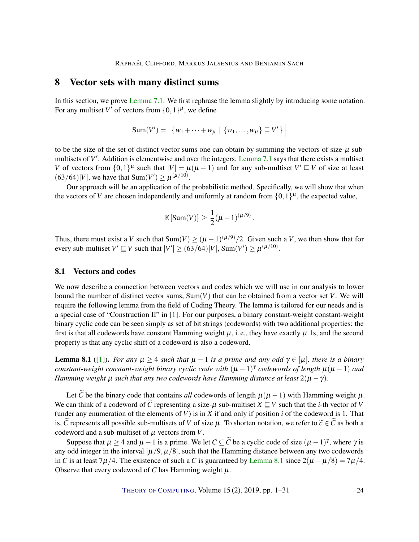# <span id="page-23-2"></span><span id="page-23-0"></span>8 Vector sets with many distinct sums

In this section, we prove [Lemma](#page-21-1) [7.1.](#page-21-1) We first rephrase the lemma slightly by introducing some notation. For any multiset V' of vectors from  $\{0,1\}^{\mu}$ , we define

$$
Sum(V') = \left| \{ w_1 + \dots + w_{\mu} \mid \{ w_1, \dots, w_{\mu} \} \sqsubseteq V' \} \right|
$$

to be the size of the set of distinct vector sums one can obtain by summing the vectors of size- $\mu$  sub-multisets of V'. Addition is elementwise and over the integers. [Lemma](#page-21-1) [7.1](#page-21-1) says that there exists a multiset *V* of vectors from  $\{0,1\}^{\mu}$  such that  $|V| = \mu(\mu - 1)$  and for any sub-multiset  $V' \sqsubseteq V$  of size at least  $(63/64)|V|$ , we have that Sum( $V'$ )  $\geq \mu^{(\mu/10)}$ .

Our approach will be an application of the probabilistic method. Specifically, we will show that when the vectors of *V* are chosen independently and uniformly at random from  $\{0,1\}^{\mu}$ , the expected value,

$$
\mathbb{E}\left[\text{Sum}(V)\right] \geq \frac{1}{2}(\mu - 1)^{(\mu/9)}.
$$

Thus, there must exist a *V* such that  $\text{Sum}(V) \ge (\mu - 1)^{(\mu/9)}/2$ . Given such a *V*, we then show that for every sub-multiset  $V' \sqsubseteq V$  such that  $|V'| \ge (63/64)|V|$ , Sum $(V') \ge \mu^{(\mu/10)}$ .

# 8.1 Vectors and codes

We now describe a connection between vectors and codes which we will use in our analysis to lower bound the number of distinct vector sums, Sum(*V*) that can be obtained from a vector set *V*. We will require the following lemma from the field of Coding Theory. The lemma is tailored for our needs and is a special case of "Construction II" in [\[1\]](#page-26-1). For our purposes, a binary constant-weight constant-weight binary cyclic code can be seen simply as set of bit strings (codewords) with two additional properties: the first is that all codewords have constant Hamming weight  $\mu$ , i. e., they have exactly  $\mu$  1s, and the second property is that any cyclic shift of a codeword is also a codeword.

<span id="page-23-1"></span>**Lemma 8.1** ([\[1\]](#page-26-1)). *For any*  $\mu > 4$  *such that*  $\mu - 1$  *is a prime and any odd*  $\gamma \in [\mu]$ *, there is a binary constant-weight constant-weight binary cyclic code with* (µ −1) γ *codewords of length* µ(µ −1) *and Hamming weight*  $\mu$  *such that any two codewords have Hamming distance at least*  $2(\mu - \gamma)$ *.* 

Let  $\tilde{C}$  be the binary code that contains *all* codewords of length  $\mu(\mu - 1)$  with Hamming weight  $\mu$ . We can think of a codeword of *C* representing a size- $\mu$  sub-multiset  $X \subseteq V$  such that the *i*-th vector of *V* (under any enumeration of the elements of *V*) is in *X* if and only if position *i* of the codeword is 1. That is, *C* represents all possible sub-multisets of *V* of size  $\mu$ . To shorten notation, we refer to  $\tilde{c} \in C$  as both a codeword and a sub-multiset of  $\mu$  vectors from  $V$ .

Suppose that  $\mu \ge 4$  and  $\mu - 1$  is a prime. We let *C*  $\subseteq$  *C* be a cyclic code of size  $(\mu - 1)^{\gamma}$ , where  $\gamma$  is any odd integer in the interval  $[\mu/9, \mu/8]$ , such that the Hamming distance between any two codewords in *C* is at least 7 $\mu$ /4. The existence of such a *C* is guaranteed by [Lemma](#page-23-1) [8.1](#page-23-1) since  $2(\mu - \mu/8) = 7\mu/4$ . Observe that every codeword of  $C$  has Hamming weight  $\mu$ .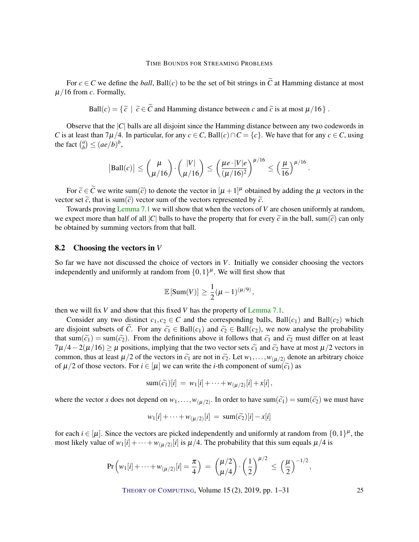For  $c \in C$  we define the *ball*, Ball(*c*) to be the set of bit strings in  $\tilde{C}$  at Hamming distance at most  $\mu/16$  from *c*. Formally,

Ball
$$
(c) = \{\tilde{c} \mid \tilde{c} \in \tilde{C} \text{ and Hamming distance between } c \text{ and } \tilde{c} \text{ is at most } \mu/16\}
$$
.

Observe that the |*C*| balls are all disjoint since the Hamming distance between any two codewords in *C* is at least than 7 $\mu$ /4. In particular, for any *c* ∈ *C*, Ball(*c*) ∩ *C* = {*c*}. We have that for any *c* ∈ *C*, using the fact  $\binom{a}{b}$  $\binom{a}{b} \leq (ae/b)^b$ ,

$$
|\text{Ball}(c)| \leq {\mu \choose \mu/16} \cdot {\binom{|V|}{\mu/16}} \leq {\left(\frac{\mu e \cdot |V| e}{(\mu/16)^2}\right)^{\mu/16}} \leq {\left(\frac{\mu}{16}\right)^{\mu/16}}.
$$

For  $\tilde{c} \in \tilde{C}$  we write sum( $\tilde{c}$ ) to denote the vector in  $[\mu + 1]^{\mu}$  obtained by adding the  $\mu$  vectors in the vector set  $\tilde{c}$ , that is sum( $\tilde{c}$ ) vector sum of the vectors represented by  $\tilde{c}$ .

Towards proving [Lemma](#page-21-1) [7.1](#page-21-1) we will show that when the vectors of *V* are chosen uniformly at random, we expect more than half of all  $|C|$  balls to have the property that for every  $\tilde{c}$  in the ball, sum( $\tilde{c}$ ) can only be obtained by summing vectors from that ball.

# 8.2 Choosing the vectors in *V*

So far we have not discussed the choice of vectors in *V*. Initially we consider choosing the vectors independently and uniformly at random from  $\{0,1\}^{\mu}$ . We will first show that

$$
\mathbb{E}\left[\text{Sum}(V)\right] \geq \frac{1}{2}(\mu - 1)^{(\mu/9)},
$$

then we will fix *V* and show that this fixed *V* has the property of [Lemma](#page-21-1) [7.1.](#page-21-1)

Consider any two distinct  $c_1, c_2 \in C$  and the corresponding balls, Ball( $c_1$ ) and Ball( $c_2$ ) which are disjoint subsets of *C*. For any  $\tilde{c}_1 \in \text{Ball}(c_1)$  and  $\tilde{c}_2 \in \text{Ball}(c_2)$ , we now analyse the probability that sum( $\tilde{c}_1$ ) = sum( $\tilde{c}_2$ ). From the definitions above it follows that  $\tilde{c}_1$  and  $\tilde{c}_2$  must differ on at least  $7\mu/4-2(\mu/16) \geq \mu$  positions, implying that the two vector sets  $\tilde{c}_1$  and  $\tilde{c}_2$  have at most  $\mu/2$  vectors in common, thus at least  $\mu/2$  of the vectors in  $\tilde{c}_1$  are not in  $\tilde{c}_2$ . Let  $w_1,\ldots,w_{(\mu/2)}$  denote an arbitrary choice of  $\mu/2$  of those vectors. For  $i \in [\mu]$  we can write the *i*-th component of sum( $\tilde{c}_1$ ) as

$$
sum(\widetilde{c_1})[i] = w_1[i] + \cdots + w_{(\mu/2)}[i] + x[i],
$$

where the vector *x* does not depend on  $w_1, \ldots, w_{(\mu/2)}$ . In order to have sum $(\tilde{c}_1) = \text{sum}(\tilde{c}_2)$  we must have

$$
w_1[i] + \cdots + w_{(\mu/2)}[i] = \text{sum}(\tilde{c}_2)[i] - x[i]
$$

for each  $i \in [\mu]$ . Since the vectors are picked independently and uniformly at random from  $\{0,1\}^{\mu}$ , the most likely value of  $w_1[i] + \cdots + w_{(\mu/2)}[i]$  is  $\mu/4$ . The probability that this sum equals  $\mu/4$  is

$$
\Pr\left(w_1[i] + \dots + w_{(\mu/2)}[i] = \frac{\pi}{4}\right) = \binom{\mu/2}{\mu/4} \cdot \left(\frac{1}{2}\right)^{\mu/2} \leq \left(\frac{\mu}{2}\right)^{-1/2},
$$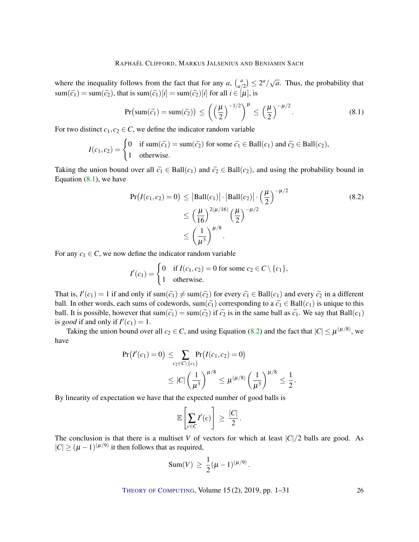where the inequality follows from the fact that for any  $a$ ,  $\begin{bmatrix} a \\ a \end{bmatrix}$  $\binom{a}{a/2} \leq 2^a/\sqrt{a}$ . Thus, the probability that  $sum(\widetilde{c}_1) = sum(\widetilde{c}_2)$ , that is  $sum(\widetilde{c}_1)[i] = sum(\widetilde{c}_2)[i]$  for all  $i \in [\mu]$ , is

<span id="page-25-0"></span>
$$
\Pr\left(\operatorname{sum}(\widetilde{c}_1) = \operatorname{sum}(\widetilde{c}_2)\right) \le \left(\left(\frac{\mu}{2}\right)^{-1/2}\right)^{\mu} \le \left(\frac{\mu}{2}\right)^{-\mu/2}.\tag{8.1}
$$

For two distinct  $c_1, c_2 \in C$ , we define the indicator random variable

$$
I(c_1, c_2) = \begin{cases} 0 & \text{if sum}(\widetilde{c_1}) = \text{sum}(\widetilde{c_2}) \text{ for some } \widetilde{c_1} \in \text{Ball}(c_1) \text{ and } \widetilde{c_2} \in \text{Ball}(c_2), \\ 1 & \text{otherwise.} \end{cases}
$$

Taking the union bound over all  $\tilde{c}_1 \in \text{Ball}(c_1)$  and  $\tilde{c}_2 \in \text{Ball}(c_2)$ , and using the probability bound in Equation [\(8.1\)](#page-25-0), we have

$$
Pr(I(c_1, c_2) = 0) \le |Ball(c_1)| \cdot |Ball(c_2)| \cdot \left(\frac{\mu}{2}\right)^{-\mu/2}
$$
  
 
$$
\le \left(\frac{\mu}{16}\right)^{2(\mu/16)} \left(\frac{\mu}{2}\right)^{-\mu/2}
$$
  
 
$$
\le \left(\frac{1}{\mu^3}\right)^{\mu/8}.
$$
 (8.2)

<span id="page-25-1"></span>.

For any  $c_1 \in C$ , we now define the indicator random variable

$$
I'(c_1) = \begin{cases} 0 & \text{if } I(c_1, c_2) = 0 \text{ for some } c_2 \in C \setminus \{c_1\}, \\ 1 & \text{otherwise.} \end{cases}
$$

That is,  $I'(c_1) = 1$  if and only if sum $(\tilde{c}_1) \neq \text{sum}(\tilde{c}_2)$  for every  $\tilde{c}_1 \in \text{Ball}(c_1)$  and every  $\tilde{c}_2$  in a different ball. In other words, each sums of codewords, sum( $\tilde{c}_1$ ) corresponding to a  $\tilde{c}_1 \in \text{Ball}(c_1)$  is unique to this ball. It is possible, however that sum( $\tilde{c}_1$ ) = sum( $\tilde{c}_2$ ) if  $\tilde{c}_2$  is in the same ball as  $\tilde{c}_1$ . We say that Ball( $c_1$ ) is *good* if and only if  $I'(c_1) = 1$ .

Taking the union bound over all  $c_2 \in C$ , and using Equation [\(8.2\)](#page-25-1) and the fact that  $|C| \le \mu^{(\mu/8)}$ , we have

$$
Pr(I'(c_1) = 0) \leq \sum_{c_2 \in C \setminus \{c_1\}} Pr(I(c_1, c_2) = 0)
$$
  
 
$$
\leq |C| \left(\frac{1}{\mu^3}\right)^{\mu/8} \leq \mu^{(\mu/8)} \left(\frac{1}{\mu^3}\right)^{\mu/8} \leq \frac{1}{2}
$$

By linearity of expectation we have that the expected number of good balls is

$$
\mathbb{E}\left[\sum_{c \in C} I'(c)\right] \geq \frac{|C|}{2}.
$$

The conclusion is that there is a multiset *V* of vectors for which at least  $|C|/2$  balls are good. As  $|C| \ge (\mu - 1)^{(\mu/9)}$  it then follows that as required,

Sum(V) 
$$
\geq \frac{1}{2}(\mu - 1)^{(\mu/9)}
$$
.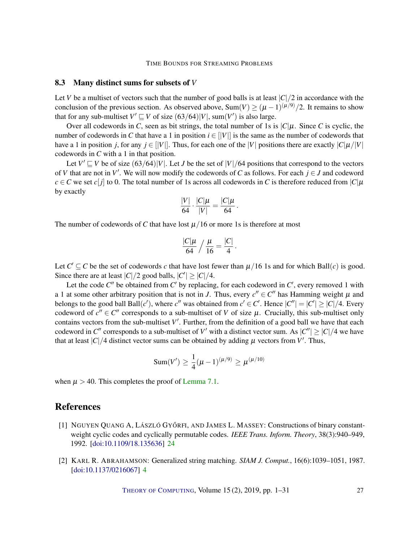# 8.3 Many distinct sums for subsets of *V*

Let *V* be a multiset of vectors such that the number of good balls is at least  $|C|/2$  in accordance with the conclusion of the previous section. As observed above,  $Sum(V) \ge (\mu - 1)^{(\mu/9)}/2$ . It remains to show that for any sub-multiset  $V' \sqsubseteq V$  of size  $(63/64)|V|$ , sum $(V')$  is also large.

Over all codewords in *C*, seen as bit strings, the total number of 1s is  $|C|\mu$ . Since *C* is cyclic, the number of codewords in *C* that have a 1 in position  $i \in [V|]$  is the same as the number of codewords that have a 1 in position *j*, for any  $j \in [|V|]$ . Thus, for each one of the |*V*| positions there are exactly  $|C|\mu/|V|$ codewords in *C* with a 1 in that position.

Let  $V' \sqsubseteq V$  be of size  $(63/64)|V|$ . Let *J* be the set of  $|V|/64$  positions that correspond to the vectors of *V* that are not in *V'*. We will now modify the codewords of *C* as follows. For each  $j \in J$  and codeword  $c \in C$  we set *c*[*j*] to 0. The total number of 1s across all codewords in *C* is therefore reduced from  $|C|\mu$ by exactly

$$
\frac{|V|}{64} \cdot \frac{|C|\mu}{|V|} = \frac{|C|\mu}{64}.
$$

The number of codewords of C that have lost  $\mu/16$  or more 1s is therefore at most

$$
\frac{|C|\mu}{64} / \frac{\mu}{16} = \frac{|C|}{4}
$$

.

Let  $C' \subseteq C$  be the set of codewords *c* that have lost fewer than  $\mu/16$  1s and for which Ball(*c*) is good. Since there are at least  $|C|/2$  good balls,  $|C'| \ge |C|/4$ .

Let the code  $C''$  be obtained from  $C'$  by replacing, for each codeword in  $C'$ , every removed 1 with a 1 at some other arbitrary position that is not in *J*. Thus, every  $c'' \in C''$  has Hamming weight  $\mu$  and belongs to the good ball Ball(*c'*), where *c*<sup>"</sup> was obtained from  $c' \in C'$ . Hence  $|C''| = |C'| \ge |C|/4$ . Every codeword of  $c'' \in C''$  corresponds to a sub-multiset of *V* of size  $\mu$ . Crucially, this sub-multiset only contains vectors from the sub-multiset  $V'$ . Further, from the definition of a good ball we have that each codeword in *C*<sup>"</sup> corresponds to a sub-multiset of *V*' with a distinct vector sum. As  $|C''| \ge |C|/4$  we have that at least  $|C|/4$  distinct vector sums can be obtained by adding  $\mu$  vectors from  $V'$ . Thus,

Sum(*V'*) 
$$
\geq \frac{1}{4}(\mu - 1)^{(\mu/9)} \geq \mu^{(\mu/10)}
$$

when  $\mu > 40$ . This completes the proof of [Lemma](#page-21-1) [7.1.](#page-21-1)

# References

- <span id="page-26-1"></span>[1] NGUYEN QUANG A, LÁSZLÓ GYŐRFI, AND JAMES L. MASSEY: Constructions of binary constantweight cyclic codes and cyclically permutable codes. *IEEE Trans. Inform. Theory*, 38(3):940–949, 1992. [\[doi:10.1109/18.135636\]](http://dx.doi.org/10.1109/18.135636) [24](#page-23-2)
- <span id="page-26-0"></span>[2] KARL R. ABRAHAMSON: Generalized string matching. *SIAM J. Comput.*, 16(6):1039–1051, 1987. [\[doi:10.1137/0216067\]](http://dx.doi.org/10.1137/0216067) [4](#page-3-0)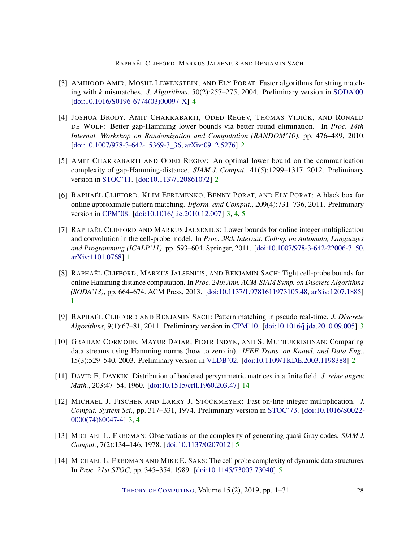- <span id="page-27-8"></span>[3] AMIHOOD AMIR, MOSHE LEWENSTEIN, AND ELY PORAT: Faster algorithms for string matching with *k* mismatches. *J. Algorithms*, 50(2):257–275, 2004. Preliminary version in [SODA'00.](http://dl.acm.org/citation.cfm?id=338219.338641) [\[doi:10.1016/S0196-6774\(03\)00097-X\]](http://dx.doi.org/10.1016/S0196-6774(03)00097-X) [4](#page-3-0)
- <span id="page-27-3"></span>[4] JOSHUA BRODY, AMIT CHAKRABARTI, ODED REGEV, THOMAS VIDICK, AND RONALD DE WOLF: Better gap-Hamming lower bounds via better round elimination. In *Proc. 14th Internat. Workshop on Randomization and Computation (RANDOM'10)*, pp. 476–489, 2010. [\[doi:10.1007/978-3-642-15369-3\\_36,](http://dx.doi.org/10.1007/978-3-642-15369-3_36) [arXiv:0912.5276\]](http://arxiv.org/abs/0912.5276) [2](#page-1-3)
- <span id="page-27-4"></span>[5] AMIT CHAKRABARTI AND ODED REGEV: An optimal lower bound on the communication complexity of gap-Hamming-distance. *SIAM J. Comput.*, 41(5):1299–1317, 2012. Preliminary version in [STOC'11.](http://doi.org/10.1145/1993636.1993644) [\[doi:10.1137/120861072\]](http://dx.doi.org/10.1137/120861072) [2](#page-1-3)
- <span id="page-27-6"></span>[6] RAPHAËL CLIFFORD, KLIM EFREMENKO, BENNY PORAT, AND ELY PORAT: A black box for online approximate pattern matching. *Inform. and Comput.*, 209(4):731–736, 2011. Preliminary version in [CPM'08.](https://doi.org/10.1007/978-3-540-69068-9_15) [\[doi:10.1016/j.ic.2010.12.007\]](http://dx.doi.org/10.1016/j.ic.2010.12.007) [3,](#page-2-1) [4,](#page-3-0) [5](#page-4-0)
- <span id="page-27-0"></span>[7] RAPHAËL CLIFFORD AND MARKUS JALSENIUS: Lower bounds for online integer multiplication and convolution in the cell-probe model. In *Proc. 38th Internat. Colloq. on Automata, Languages and Programming (ICALP'11)*, pp. 593–604. Springer, 2011. [\[doi:10.1007/978-3-642-22006-7\\_50,](http://dx.doi.org/10.1007/978-3-642-22006-7_50) [arXiv:1101.0768\]](http://arxiv.org/abs/1101.0768) [1](#page-0-0)
- <span id="page-27-1"></span>[8] RAPHAËL CLIFFORD, MARKUS JALSENIUS, AND BENJAMIN SACH: Tight cell-probe bounds for online Hamming distance computation. In *Proc. 24th Ann. ACM-SIAM Symp. on Discrete Algorithms (SODA'13)*, pp. 664–674. ACM Press, 2013. [\[doi:10.1137/1.9781611973105.48,](http://dx.doi.org/10.1137/1.9781611973105.48) [arXiv:1207.1885\]](http://arxiv.org/abs/1207.1885) [1](#page-0-0)
- <span id="page-27-7"></span>[9] RAPHAËL CLIFFORD AND BENJAMIN SACH: Pattern matching in pseudo real-time. *J. Discrete Algorithms*, 9(1):67–81, 2011. Preliminary version in [CPM'10.](https://doi.org/10.1007/978-3-642-13509-5_10) [\[doi:10.1016/j.jda.2010.09.005\]](http://dx.doi.org/10.1016/j.jda.2010.09.005) [3](#page-2-1)
- <span id="page-27-2"></span>[10] GRAHAM CORMODE, MAYUR DATAR, PIOTR INDYK, AND S. MUTHUKRISHNAN: Comparing data streams using Hamming norms (how to zero in). *IEEE Trans. on Knowl. and Data Eng.*, 15(3):529–540, 2003. Preliminary version in [VLDB'02.](http://www.vldb.org/conf/2002/S10P02.pdf) [\[doi:10.1109/TKDE.2003.1198388\]](http://dx.doi.org/10.1109/TKDE.2003.1198388) [2](#page-1-3)
- <span id="page-27-11"></span>[11] DAVID E. DAYKIN: Distribution of bordered persymmetric matrices in a finite field. *J. reine angew. Math.*, 203:47–54, 1960. [\[doi:10.1515/crll.1960.203.47\]](http://dx.doi.org/10.1515/crll.1960.203.47) [14](#page-13-1)
- <span id="page-27-5"></span>[12] MICHAEL J. FISCHER AND LARRY J. STOCKMEYER: Fast on-line integer multiplication. *J. Comput. System Sci.*, pp. 317–331, 1974. Preliminary version in [STOC'73.](https://doi.org/10.1145/800125.804037) [\[doi:10.1016/S0022-](http://dx.doi.org/10.1016/S0022-0000(74)80047-4) [0000\(74\)80047-4\]](http://dx.doi.org/10.1016/S0022-0000(74)80047-4) [3,](#page-2-1) [4](#page-3-0)
- <span id="page-27-9"></span>[13] MICHAEL L. FREDMAN: Observations on the complexity of generating quasi-Gray codes. *SIAM J. Comput.*, 7(2):134–146, 1978. [\[doi:10.1137/0207012\]](http://dx.doi.org/10.1137/0207012) [5](#page-4-0)
- <span id="page-27-10"></span>[14] MICHAEL L. FREDMAN AND MIKE E. SAKS: The cell probe complexity of dynamic data structures. In *Proc. 21st STOC*, pp. 345–354, 1989. [\[doi:10.1145/73007.73040\]](http://dx.doi.org/10.1145/73007.73040) [5](#page-4-0)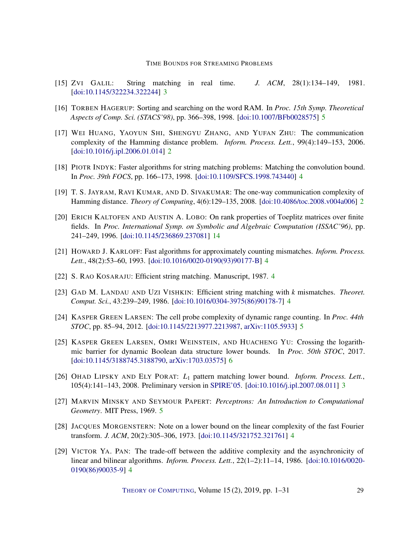- <span id="page-28-3"></span>[15] ZVI GALIL: String matching in real time. *J. ACM*, 28(1):134–149, 1981. [\[doi:10.1145/322234.322244\]](http://dx.doi.org/10.1145/322234.322244) [3](#page-2-1)
- <span id="page-28-11"></span>[16] TORBEN HAGERUP: Sorting and searching on the word RAM. In *Proc. 15th Symp. Theoretical Aspects of Comp. Sci. (STACS'98)*, pp. 366–398, 1998. [\[doi:10.1007/BFb0028575\]](http://dx.doi.org/10.1007/BFb0028575) [5](#page-4-0)
- <span id="page-28-0"></span>[17] WEI HUANG, YAOYUN SHI, SHENGYU ZHANG, AND YUFAN ZHU: The communication complexity of the Hamming distance problem. *Inform. Process. Lett.*, 99(4):149–153, 2006. [\[doi:10.1016/j.ipl.2006.01.014\]](http://dx.doi.org/10.1016/j.ipl.2006.01.014) [2](#page-1-3)
- <span id="page-28-6"></span>[18] PIOTR INDYK: Faster algorithms for string matching problems: Matching the convolution bound. In *Proc. 39th FOCS*, pp. 166–173, 1998. [\[doi:10.1109/SFCS.1998.743440\]](http://dx.doi.org/10.1109/SFCS.1998.743440) [4](#page-3-0)
- <span id="page-28-1"></span>[19] T. S. JAYRAM, RAVI KUMAR, AND D. SIVAKUMAR: The one-way communication complexity of Hamming distance. *Theory of Computing*, 4(6):129–135, 2008. [\[doi:10.4086/toc.2008.v004a006\]](http://dx.doi.org/10.4086/toc.2008.v004a006) [2](#page-1-3)
- <span id="page-28-14"></span>[20] ERICH KALTOFEN AND AUSTIN A. LOBO: On rank properties of Toeplitz matrices over finite fields. In *Proc. International Symp. on Symbolic and Algebraic Computation (ISSAC'96)*, pp. 241–249, 1996. [\[doi:10.1145/236869.237081\]](http://dx.doi.org/10.1145/236869.237081) [14](#page-13-1)
- <span id="page-28-5"></span>[21] HOWARD J. KARLOFF: Fast algorithms for approximately counting mismatches. *Inform. Process. Lett.*, 48(2):53–60, 1993. [\[doi:10.1016/0020-0190\(93\)90177-B\]](http://dx.doi.org/10.1016/0020-0190(93)90177-B) [4](#page-3-0)
- <span id="page-28-4"></span>[22] S. RAO KOSARAJU: Efficient string matching. Manuscript, 1987. [4](#page-3-0)
- <span id="page-28-7"></span>[23] GAD M. LANDAU AND UZI VISHKIN: Efficient string matching with *k* mismatches. *Theoret. Comput. Sci.*, 43:239–249, 1986. [\[doi:10.1016/0304-3975\(86\)90178-7\]](http://dx.doi.org/10.1016/0304-3975(86)90178-7) [4](#page-3-0)
- <span id="page-28-12"></span>[24] KASPER GREEN LARSEN: The cell probe complexity of dynamic range counting. In *Proc. 44th STOC*, pp. 85–94, 2012. [\[doi:10.1145/2213977.2213987,](http://dx.doi.org/10.1145/2213977.2213987) [arXiv:1105.5933\]](http://arxiv.org/abs/1105.5933) [5](#page-4-0)
- <span id="page-28-13"></span>[25] KASPER GREEN LARSEN, OMRI WEINSTEIN, AND HUACHENG YU: Crossing the logarithmic barrier for dynamic Boolean data structure lower bounds. In *Proc. 50th STOC*, 2017. [\[doi:10.1145/3188745.3188790,](http://dx.doi.org/10.1145/3188745.3188790) [arXiv:1703.03575\]](http://arxiv.org/abs/1703.03575) [6](#page-5-0)
- <span id="page-28-2"></span>[26] OHAD LIPSKY AND ELY PORAT: *L*<sup>1</sup> pattern matching lower bound. *Inform. Process. Lett.*, 105(4):141–143, 2008. Preliminary version in [SPIRE'05.](https://doi.org/10.1007/11575832_36) [\[doi:10.1016/j.ipl.2007.08.011\]](http://dx.doi.org/10.1016/j.ipl.2007.08.011) [3](#page-2-1)
- <span id="page-28-10"></span>[27] MARVIN MINSKY AND SEYMOUR PAPERT: *Perceptrons: An Introduction to Computational Geometry*. MIT Press, 1969. [5](#page-4-0)
- <span id="page-28-8"></span>[28] JACQUES MORGENSTERN: Note on a lower bound on the linear complexity of the fast Fourier transform. *J. ACM*, 20(2):305–306, 1973. [\[doi:10.1145/321752.321761\]](http://dx.doi.org/10.1145/321752.321761) [4](#page-3-0)
- <span id="page-28-9"></span>[29] VICTOR YA. PAN: The trade-off between the additive complexity and the asynchronicity of linear and bilinear algorithms. *Inform. Process. Lett.*, 22(1–2):11–14, 1986. [\[doi:10.1016/0020-](http://dx.doi.org/10.1016/0020-0190(86)90035-9) [0190\(86\)90035-9\]](http://dx.doi.org/10.1016/0020-0190(86)90035-9) [4](#page-3-0)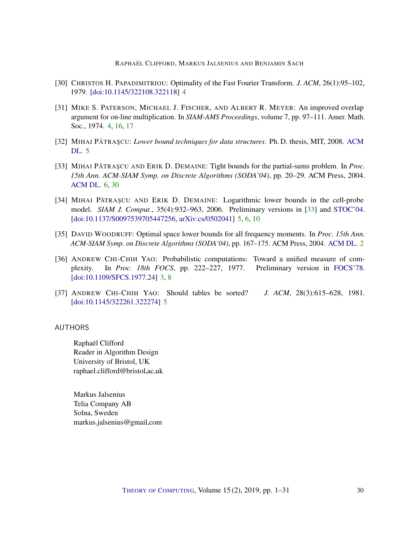- <span id="page-29-10"></span><span id="page-29-5"></span>[30] CHRISTOS H. PAPADIMITRIOU: Optimality of the Fast Fourier Transform. *J. ACM*, 26(1):95–102, 1979. [\[doi:10.1145/322108.322118\]](http://dx.doi.org/10.1145/322108.322118) [4](#page-3-0)
- <span id="page-29-4"></span>[31] MIKE S. PATERSON, MICHAEL J. FISCHER, AND ALBERT R. MEYER: An improved overlap argument for on-line multiplication. In *SIAM-AMS Proceedings*, volume 7, pp. 97–111. Amer. Math. Soc., 1974. [4,](#page-3-0) [16,](#page-15-3) [17](#page-16-2)
- <span id="page-29-8"></span>[32] MIHAI PĂTRA ŞCU: *Lower bound techniques for data structures*. Ph. D. thesis, MIT, 2008. [ACM](https://dl.acm.org/citation.cfm?id=1626626) [DL.](https://dl.acm.org/citation.cfm?id=1626626) [5](#page-4-0)
- <span id="page-29-9"></span>[33] MIHAI PATRA SCU AND ERIK D. DEMAINE: Tight bounds for the partial-sums problem. In *Proc. 15th Ann. ACM-SIAM Symp. on Discrete Algorithms (SODA'04)*, pp. 20–29. ACM Press, 2004. [ACM DL.](https://dl.acm.org/citation.cfm?id=982792.982796) [6,](#page-5-0) [30](#page-29-10)
- <span id="page-29-7"></span>[34] MIHAI PATRASCU AND ERIK D. DEMAINE: Logarithmic lower bounds in the cell-probe model. *SIAM J. Comput.*, 35(4):932–963, 2006. Preliminary versions in [\[33\]](#page-29-9) and [STOC'04.](http:doi.org/10.1145/1007352.1007435) [\[doi:10.1137/S0097539705447256,](http://dx.doi.org/10.1137/S0097539705447256) [arXiv:cs/0502041\]](http://arxiv.org/abs/cs/0502041) [5,](#page-4-0) [6,](#page-5-0) [10](#page-9-3)
- <span id="page-29-2"></span>[35] DAVID WOODRUFF: Optimal space lower bounds for all frequency moments. In *Proc. 15th Ann. ACM-SIAM Symp. on Discrete Algorithms (SODA'04)*, pp. 167–175. ACM Press, 2004. [ACM DL.](https://dl.acm.org/citation.cfm?id=982792.982817) [2](#page-1-3)
- <span id="page-29-3"></span>[36] ANDREW CHI-CHIH YAO: Probabilistic computations: Toward a unified measure of complexity. In *Proc. 18th FOCS*, pp. 222–227, 1977. Preliminary version in [FOCS'78.](https:doi.org/10.1145/322261.322274) [\[doi:10.1109/SFCS.1977.24\]](http://dx.doi.org/10.1109/SFCS.1977.24) [3,](#page-2-1) [8](#page-7-1)
- <span id="page-29-6"></span>[37] ANDREW CHI-CHIH YAO: Should tables be sorted? *J. ACM*, 28(3):615–628, 1981. [\[doi:10.1145/322261.322274\]](http://dx.doi.org/10.1145/322261.322274) [5](#page-4-0)

# <span id="page-29-0"></span>AUTHORS

Raphaël Clifford Reader in Algorithm Design University of Bristol, UK raphael.clifford@bristol.ac.uk

<span id="page-29-1"></span>Markus Jalsenius Telia Company AB Solna, Sweden markus.jalsenius@gmail.com